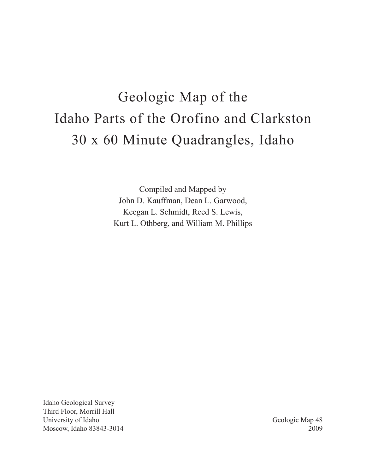# Geologic Map of the Idaho Parts of the Orofino and Clarkston 30 x 60 Minute Quadrangles, Idaho

Compiled and Mapped by John D. Kauffman, Dean L. Garwood, Keegan L. Schmidt, Reed S. Lewis, Kurt L. Othberg, and William M. Phillips

Idaho Geological Survey Third Floor, Morrill Hall University of Idaho Moscow, Idaho 83843-3014

Geologic Map 48 2009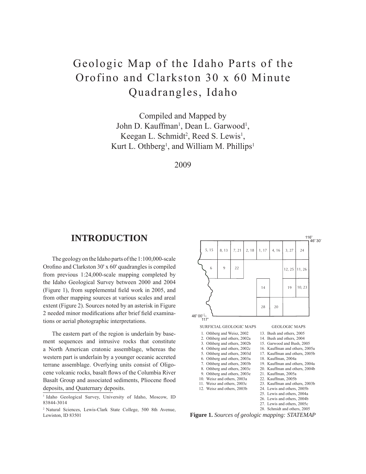## Geologic Map of the Idaho Parts of the Orofino and Clarkston 30 x 60 Minute Quadrangles, Idaho

Compiled and Mapped by John D. Kauffman<sup>1</sup>, Dean L. Garwood<sup>1</sup>, Keegan L. Schmidt<sup>2</sup>, Reed S. Lewis<sup>1</sup>, Kurt L. Othberg<sup>1</sup>, and William M. Phillips<sup>1</sup>

2009

## **INTRODUCTION**

The geology on the Idaho parts of the 1:100,000-scale Orofino and Clarkston  $30'$  x  $60'$  quadrangles is compiled from previous 1:24,000-scale mapping completed by the Idaho Geological Survey between 2000 and 2004 (Figure 1), from supplemental field work in 2005, and from other mapping sources at various scales and areal extent (Figure 2). Sources noted by an asterisk in Figure 2 needed minor modifications after brief field examinations or aerial photographic interpretations.

The eastern part of the region is underlain by basement sequences and intrusive rocks that constitute a North American cratonic assemblage, whereas the western part is underlain by a younger oceanic accreted terrane assemblage. Overlying units consist of Oligocene volcanic rocks, basalt flows of the Columbia River Basalt Group and associated sediments, Pliocene flood deposits, and Quaternary deposits.

<sup>2</sup> Natural Sciences, Lewis-Clark State College, 500 8th Avenue, Lewiston, ID 83501



**Figure 1.** *Sources of geologic mapping: STATEMAP*

<sup>&</sup>lt;sup>1</sup> Idaho Geological Survey, University of Idaho, Moscow, ID 83844-3014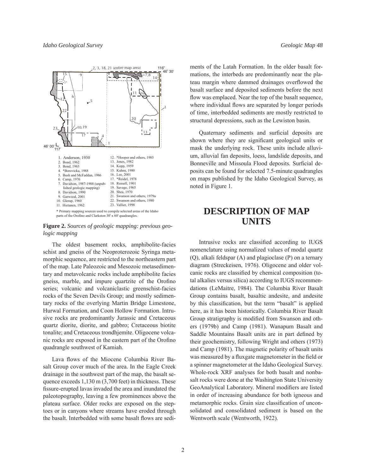

**Figure 2.** *Sources of geologic mapping: previous geologic mapping*

The oldest basement rocks, amphibolite-facies schist and gneiss of the Neoproterozoic Syringa metamorphic sequence, are restricted to the northeastern part of the map. Late Paleozoic and Mesozoic metasedimentary and metavolcanic rocks include amphibolite facies gneiss, marble, and impure quartzite of the Orofino series; volcanic and volcaniclastic greenschist-facies rocks of the Seven Devils Group; and mostly sedimentary rocks of the overlying Martin Bridge Limestone, Hurwal Formation, and Coon Hollow Formation. Intrusive rocks are predominantly Jurassic and Cretaceous quartz diorite, diorite, and gabbro; Cretaceous biotite tonalite; and Cretaceous trondhjemite. Oligocene volcanic rocks are exposed in the eastern part of the Orofino quadrangle southwest of Kamiah.

Lava flows of the Miocene Columbia River Basalt Group cover much of the area. In the Eagle Creek drainage in the southwest part of the map, the basalt sequence exceeds 1,130 m (3,700 feet) in thickness. These fissure-erupted lavas invaded the area and inundated the paleotopography, leaving a few prominences above the plateau surface. Older rocks are exposed on the steptoes or in canyons where streams have eroded through the basalt. Interbedded with some basalt flows are sediments of the Latah Formation. In the older basalt formations, the interbeds are predominantly near the plateau margin where dammed drainages overflowed the basalt surface and deposited sediments before the next flow was emplaced. Near the top of the basalt sequence, where individual flows are separated by longer periods of time, interbedded sediments are mostly restricted to structural depressions, such as the Lewiston basin.

Quaternary sediments and surficial deposits are shown where they are significant geological units or mask the underlying rock. These units include alluvium, alluvial fan deposits, loess, landslide deposits, and Bonneville and Missoula Flood deposits. Surficial deposits can be found for selected 7.5-minute quadrangles on maps published by the Idaho Geological Survey, as noted in Figure 1.

## **DESCRIPTION OF MAP UNITS**

Intrusive rocks are classified according to IUGS nomenclature using normalized values of modal quartz (Q), alkali feldspar (A) and plagioclase (P) on a ternary diagram (Streckeisen, 1976). Oligocene and older volcanic rocks are classified by chemical composition (total alkalies versus silica) according to IUGS recommendations (LeMaitre, 1984). The Columbia River Basalt Group contains basalt, basaltic andesite, and andesite by this classification, but the term "basalt" is applied here, as it has been historically. Columbia River Basalt Group stratigraphy is modified from Swanson and others (1979b) and Camp (1981). Wanapum Basalt and Saddle Mountains Basalt units are in part defined by their geochemistry, following Wright and others (1973) and Camp (1981). The magnetic polarity of basalt units was measured by a fluxgate magnetometer in the field or a spinner magnetometer at the Idaho Geological Survey. Whole-rock XRF analyses for both basalt and nonbasalt rocks were done at the Washington State University GeoAnalytical Laboratory. Mineral modifiers are listed in order of increasing abundance for both igneous and metamorphic rocks. Grain size classification of unconsolidated and consolidated sediment is based on the Wentworth scale (Wentworth, 1922).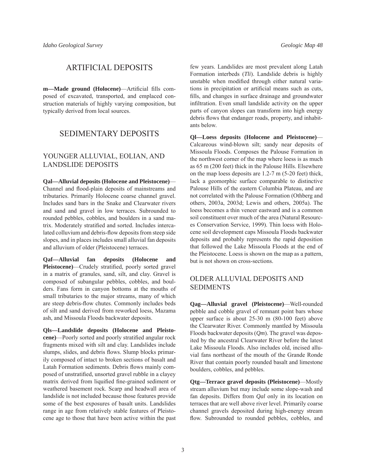## ARTIFICIAL DEPOSITS

m-Made ground (Holocene)-Artificial fills composed of excavated, transported, and emplaced construction materials of highly varying composition, but typically derived from local sources.

## SEDIMENTARY DEPOSITS

#### YOUNGER ALLUVIAL, EOLIAN, AND LANDSLIDE DEPOSITS

**Qal—Alluvial deposits (Holocene and Pleistocene)**— Channel and flood-plain deposits of mainstreams and tributaries. Primarily Holocene coarse channel gravel. Includes sand bars in the Snake and Clearwater rivers and sand and gravel in low terraces. Subrounded to rounded pebbles, cobbles, and boulders in a sand matrix. Moderately stratified and sorted. Includes intercalated colluvium and debris-flow deposits from steep side slopes, and in places includes small alluvial fan deposits and alluvium of older (Pleistocene) terraces.

**Qaf—Alluvial fan deposits (Holocene and**  Pleistocene)—Crudely stratified, poorly sorted gravel in a matrix of granules, sand, silt, and clay. Gravel is composed of subangular pebbles, cobbles, and boulders. Fans form in canyon bottoms at the mouths of small tributaries to the major streams, many of which are steep debris-flow chutes. Commonly includes beds of silt and sand derived from reworked loess, Mazama ash, and Missoula Floods backwater deposits.

**Qls—Landslide deposits (Holocene and Pleistocene)**—Poorly sorted and poorly stratified angular rock fragments mixed with silt and clay. Landslides include slumps, slides, and debris flows. Slump blocks primarily composed of intact to broken sections of basalt and Latah Formation sediments. Debris flows mainly composed of unstratified, unsorted gravel rubble in a clayey matrix derived from liquified fine-grained sediment or weathered basement rock. Scarp and headwall area of landslide is not included because those features provide some of the best exposures of basalt units. Landslides range in age from relatively stable features of Pleistocene age to those that have been active within the past

few years. Landslides are most prevalent along Latah Formation interbeds (*Tli*). Landslide debris is highly unstable when modified through either natural variations in precipitation or artificial means such as cuts, fills, and changes in surface drainage and groundwater infiltration. Even small landslide activity on the upper parts of canyon slopes can transform into high energy debris flows that endanger roads, property, and inhabitants below.

**Ql—Loess deposits (Holocene and Pleistocene)**— Calcareous wind-blown silt; sandy near deposits of Missoula Floods. Composes the Palouse Formation in the northwest corner of the map where loess is as much as 65 m (200 feet) thick in the Palouse Hills. Elsewhere on the map loess deposits are 1.2-7 m (5-20 feet) thick, lack a geomorphic surface comparable to distinctive Palouse Hills of the eastern Columbia Plateau, and are not correlated with the Palouse Formation (Othberg and others, 2003a, 2003d; Lewis and others, 2005a). The loess becomes a thin veneer eastward and is a common soil constituent over much of the area (Natural Resources Conservation Service, 1999). Thin loess with Holocene soil development caps Missoula Floods backwater deposits and probably represents the rapid deposition that followed the Lake Missoula Floods at the end of the Pleistocene. Loess is shown on the map as a pattern, but is not shown on cross-sections.

#### OLDER ALLUVIAL DEPOSITS AND SEDIMENTS

**Qag—Alluvial gravel (Pleistocene)**—Well-rounded pebble and cobble gravel of remnant point bars whose upper surface is about 25-30 m (80-100 feet) above the Clearwater River. Commonly mantled by Missoula Floods backwater deposits (*Qm*). The gravel was deposited by the ancestral Clearwater River before the latest Lake Missoula Floods. Also includes old, incised alluvial fans northeast of the mouth of the Grande Ronde River that contain poorly rounded basalt and limestone boulders, cobbles, and pebbles.

**Qtg—Terrace gravel deposits (Pleistocene)**—Mostly stream alluvium but may include some slope-wash and fan deposits. Differs from *Qal* only in its location on terraces that are well above river level. Primarily coarse channel gravels deposited during high-energy stream flow. Subrounded to rounded pebbles, cobbles, and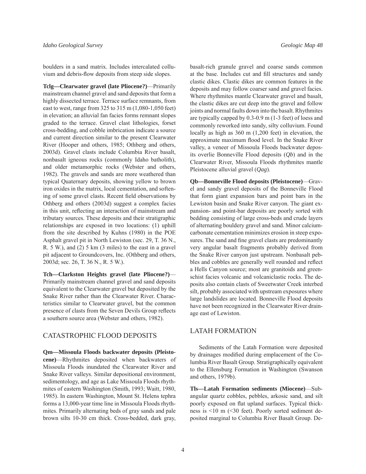boulders in a sand matrix. Includes intercalated colluvium and debris-flow deposits from steep side slopes.

**Tclg—Clearwater gravel (late Pliocene?)**—Primarily mainstream channel gravel and sand deposits that form a highly dissected terrace. Terrace surface remnants, from east to west, range from 325 to 315 m (1,080-1,050 feet) in elevation; an alluvial fan facies forms remnant slopes graded to the terrace. Gravel clast lithologies, forset cross-bedding, and cobble imbrication indicate a source and current direction similar to the present Clearwater River (Hooper and others, 1985; Othberg and others, 2003d). Gravel clasts include Columbia River basalt, nonbasalt igneous rocks (commonly Idaho batholith), and older metamorphic rocks (Webster and others, 1982). The gravels and sands are more weathered than typical Quaternary deposits, showing yellow to brown iron oxides in the matrix, local cementation, and softening of some gravel clasts. Recent field observations by Othberg and others (2003d) suggest a complex facies in this unit, reflecting an interaction of mainstream and tributary sources. These deposits and their stratigraphic relationships are exposed in two locations: (1) uphill from the site described by Kuhns (1980) in the POE Asphalt gravel pit in North Lewiston (sec. 29, T. 36 N., R. 5 W.), and (2) 5 km (3 miles) to the east in a gravel pit adjacent to Groundcovers, Inc. (Othberg and others, 2003d; sec. 26, T. 36 N., R. 5 W.).

**Tch—Clarkston Heights gravel (late Pliocene?)**— Primarily mainstream channel gravel and sand deposits equivalent to the Clearwater gravel but deposited by the Snake River rather than the Clearwater River. Characteristics similar to Clearwater gravel, but the common presence of clasts from the Seven Devils Group reflects a southern source area (Webster and others, 1982).

#### CATASTROPHIC FLOOD DEPOSITS

**Qm—Missoula Floods backwater deposits (Pleistocene)**—Rhythmites deposited when backwaters of Missoula Floods inundated the Clearwater River and Snake River valleys. Similar depositional environment, sedimentology, and age as Lake Missoula Floods rhythmites of eastern Washington (Smith, 1993; Waitt, 1980, 1985). In eastern Washington, Mount St. Helens tephra forms a 13,000-year time line in Missoula Floods rhythmites. Primarily alternating beds of gray sands and pale brown silts 10-30 cm thick. Cross-bedded, dark gray,

basalt-rich granule gravel and coarse sands common at the base. Includes cut and fill structures and sandy clastic dikes. Clastic dikes are common features in the deposits and may follow coarser sand and gravel facies. Where rhythmites mantle Clearwater gravel and basalt, the clastic dikes are cut deep into the gravel and follow joints and normal faults down into the basalt. Rhythmites are typically capped by 0.3-0.9 m (1-3 feet) of loess and commonly reworked into sandy, silty colluvium. Found locally as high as 360 m (1,200 feet) in elevation, the approximate maximum flood level. In the Snake River valley, a veneer of Missoula Floods backwater deposits overlie Bonneville Flood deposits (*Qb*) and in the Clearwater River, Missoula Floods rhythmites mantle Pleistocene alluvial gravel (*Qag*).

**Qb—Bonneville Flood deposits (Pleistocene)**—Gravel and sandy gravel deposits of the Bonneville Flood that form giant expansion bars and point bars in the Lewiston basin and Snake River canyon. The giant expansion- and point-bar deposits are poorly sorted with bedding consisting of large cross-beds and crude layers of alternating bouldery gravel and sand. Minor calciumcarbonate cementation minimizes erosion in steep exposures. The sand and fine gravel clasts are predominantly very angular basalt fragments probably derived from the Snake River canyon just upstream. Nonbasalt pebbles and cobbles are generally well rounded and reflect a Hells Canyon source; most are granitoids and greenschist facies volcanic and volcaniclastic rocks. The deposits also contain clasts of Sweetwater Creek interbed silt, probably associated with upstream exposures where large landslides are located. Bonneville Flood deposits have not been recognized in the Clearwater River drainage east of Lewiston.

#### LATAH FORMATION

Sediments of the Latah Formation were deposited by drainages modified during emplacement of the Columbia River Basalt Group. Stratigraphically equivalent to the Ellensburg Formation in Washington (Swanson and others, 1979b).

**Tls—Latah Formation sediments (Miocene)**—Subangular quartz cobbles, pebbles, arkosic sand, and silt poorly exposed on flat upland surfaces. Typical thickness is <10 m (<30 feet). Poorly sorted sediment deposited marginal to Columbia River Basalt Group. De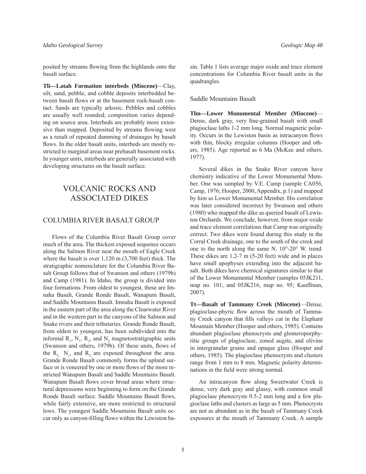posited by streams flowing from the highlands onto the basalt surface.

**Tli—Latah Formation interbeds (Miocene)**—Clay, silt, sand, pebble, and cobble deposits interbedded between basalt flows or at the basement rock-basalt contact. Sands are typically arkosic. Pebbles and cobbles are usually well rounded; composition varies depending on source area. Interbeds are probably more extensive than mapped. Deposited by streams flowing west as a result of repeated damming of drainages by basalt flows. In the older basalt units, interbeds are mostly restricted to marginal areas near prebasalt basement rocks. In younger units, interbeds are generally associated with developing structures on the basalt surface.

## VOLCANIC ROCKS AND ASSOCIATED DIKES

#### COLUMBIA RIVER BASALT GROUP

Flows of the Columbia River Basalt Group cover much of the area. The thickest exposed sequence occurs along the Salmon River near the mouth of Eagle Creek where the basalt is over 1,120 m (3,700 feet) thick. The stratigraphic nomenclature for the Columbia River Basalt Group follows that of Swanson and others (1979b) and Camp (1981). In Idaho, the group is divided into four formations. From oldest to youngest, these are Imnaha Basalt, Grande Ronde Basalt, Wanapum Basalt, and Saddle Mountains Basalt. Imnaha Basalt is exposed in the eastern part of the area along the Clearwater River and in the western part in the canyons of the Salmon and Snake rivers and their tributaries. Grande Ronde Basalt, from oldest to youngest, has been subdivided into the informal  $R_1$ ,  $N_1$ ,  $R_2$ , and  $N_2$  magnetostratigraphic units (Swanson and others, 1979b). Of these units, flows of the  $R_1$ ,  $N_1$ , and  $R_2$  are exposed throughout the area. Grande Ronde Basalt commonly forms the upland surface or is veneered by one or more flows of the more restricted Wanapum Basalt and Saddle Mountains Basalt. Wanapum Basalt flows cover broad areas where structural depressions were beginning to form on the Grande Ronde Basalt surface. Saddle Mountains Basalt flows, while fairly extensive, are more restricted to structural lows. The youngest Saddle Mountains Basalt units occur only as canyon-filling flows within the Lewiston basin. Table 1 lists average major oxide and trace element concentrations for Columbia River basalt units in the quadrangles.

#### Saddle Mountains Basalt

**Tlm—Lower Monumental Member (Miocene)**— Dense, dark gray, very fine-grained basalt with small plagioclase laths 1-2 mm long. Normal magnetic polarity. Occurs in the Lewiston basin as intracanyon flows with thin, blocky irregular columns (Hooper and others, 1985). Age reported as 6 Ma (McKee and others, 1977).

Several dikes in the Snake River canyon have chemistry indicative of the Lower Monumental Member. One was sampled by V.E. Camp (sample CA056, Camp, 1976; Hooper, 2000, Appendix, p.1) and mapped by him as Lower Monumental Member. His correlation was later considered incorrect by Swanson and others (1980) who mapped the dike as queried basalt of Lewiston Orchards. We conclude, however, from major oxide and trace element correlations that Camp was originally correct. Two dikes were found during this study in the Corral Creek drainage, one to the south of the creek and one to the north along the same N. 10°-20° W. trend. These dikes are 1.2-7 m (5-20 feet) wide and in places have small apophyses extending into the adjacent basalt. Both dikes have chemical signatures similar to that of the Lower Monumental Member (samples 05JK211, map no. 101, and 05JK216, map no. 95; Kauffman, 2007).

**Tt—Basalt of Tammany Creek (Miocene)**—Dense, plagioclase-phyric flow across the mouth of Tammany Creek canyon that fills valleys cut in the Elephant Mountain Member (Hooper and others, 1985). Contains abundant plagioclase phenocrysts and glomeroporphyritic groups of plagioclase, zoned augite, and olivine in intergranular grains and opaque glass (Hooper and others, 1985). The plagioclase phenocrysts and clusters range from 1 mm to 8 mm. Magnetic polarity determinations in the field were strong normal.

An intracanyon flow along Sweetwater Creek is dense, very dark gray and glassy, with common small plagioclase phenocrysts 0.5-2 mm long and a few plagioclase laths and clusters as large as 5 mm. Phenocrysts are not as abundant as in the basalt of Tammany Creek exposures at the mouth of Tammany Creek. A sample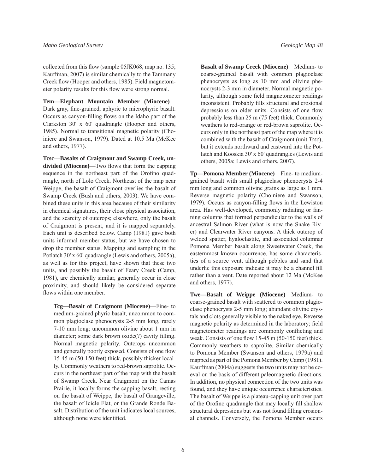collected from this flow (sample  $05$ JK $068$ , map no. 135; Kauffman, 2007) is similar chemically to the Tammany Creek flow (Hooper and others, 1985). Field magnetometer polarity results for this flow were strong normal.

**Tem—Elephant Mountain Member (Miocene)**— Dark gray, fine-grained, aphyric to microphyric basalt. Occurs as canyon-filling flows on the Idaho part of the Clarkston 30' x 60' quadrangle (Hooper and others, 1985). Normal to transitional magnetic polarity (Choiniere and Swanson, 1979). Dated at 10.5 Ma (McKee and others, 1977).

**Tcsc—Basalts of Craigmont and Swamp Creek, undivided (Miocene)—Two flows that form the capping** sequence in the northeast part of the Orofino quadrangle, north of Lolo Creek. Northeast of the map near Weippe, the basalt of Craigmont overlies the basalt of Swamp Creek (Bush and others, 2003). We have combined these units in this area because of their similarity in chemical signatures, their close physical association, and the scarcity of outcrops; elsewhere, only the basalt of Craigmont is present, and it is mapped separately. Each unit is described below. Camp (1981) gave both units informal member status, but we have chosen to drop the member status. Mapping and sampling in the Potlatch 30' x 60' quadrangle (Lewis and others, 2005a), as well as for this project, have shown that these two units, and possibly the basalt of Feary Creek (Camp, 1981), are chemically similar, generally occur in close proximity, and should likely be considered separate flows within one member.

**Tcg—Basalt of Craigmont (Miocene)**—Fine- to medium-grained phyric basalt, uncommon to common plagioclase phenocrysts 2-5 mm long, rarely 7-10 mm long; uncommon olivine about 1 mm in diameter; some dark brown oxide(?) cavity filling. Normal magnetic polarity. Outcrops uncommon and generally poorly exposed. Consists of one flow 15-45 m (50-150 feet) thick, possibly thicker locally. Commonly weathers to red-brown saprolite. Occurs in the northeast part of the map with the basalt of Swamp Creek. Near Craigmont on the Camas Prairie, it locally forms the capping basalt, resting on the basalt of Weippe, the basalt of Grangeville, the basalt of Icicle Flat, or the Grande Ronde Basalt. Distribution of the unit indicates local sources, although none were identified.

**Basalt of Swamp Creek (Miocene)**—Medium- to coarse-grained basalt with common plagioclase phenocrysts as long as 10 mm and olivine phenocrysts 2-3 mm in diameter. Normal magnetic polarity, although some field magnetometer readings inconsistent. Probably fills structural and erosional depressions on older units. Consists of one flow probably less than 25 m (75 feet) thick. Commonly weathers to red-orange or red-brown saprolite. Occurs only in the northeast part of the map where it is combined with the basalt of Craigmont (unit *Tcsc*), but it extends northward and eastward into the Potlatch and Kooskia 30' x 60' quadrangles (Lewis and others, 2005a; Lewis and others, 2007).

**Tp—Pomona Member (Miocene)**—Fine- to mediumgrained basalt with small plagioclase phenocrysts 2-4 mm long and common olivine grains as large as 1 mm. Reverse magnetic polarity (Choiniere and Swanson, 1979). Occurs as canyon-filling flows in the Lewiston area. Has well-developed, commonly radiating or fanning columns that formed perpendicular to the walls of ancestral Salmon River (what is now the Snake River) and Clearwater River canyons. A thick outcrop of welded spatter, hyaloclastite, and associated columnar Pomona Member basalt along Sweetwater Creek, the easternmost known occurrence, has some characteristics of a source vent, although pebbles and sand that underlie this exposure indicate it may be a channel fill rather than a vent. Date reported about 12 Ma (McKee and others, 1977).

**Twe—Basalt of Weippe (Miocene)**—Medium- to coarse-grained basalt with scattered to common plagioclase phenocrysts 2-5 mm long; abundant olivine crystals and clots generally visible to the naked eye. Reverse magnetic polarity as determined in the laboratory; field magnetometer readings are commonly conflicting and weak. Consists of one flow  $15-45$  m  $(50-150$  feet) thick. Commonly weathers to saprolite. Similar chemically to Pomona Member (Swanson and others, 1979a) and mapped as part of the Pomona Member by Camp (1981). Kauffman (2004a) suggests the two units may not be coeval on the basis of different paleomagnetic directions. In addition, no physical connection of the two units was found, and they have unique occurrence characteristics. The basalt of Weippe is a plateau-capping unit over part of the Orofino quadrangle that may locally fill shallow structural depressions but was not found filling erosional channels. Conversely, the Pomona Member occurs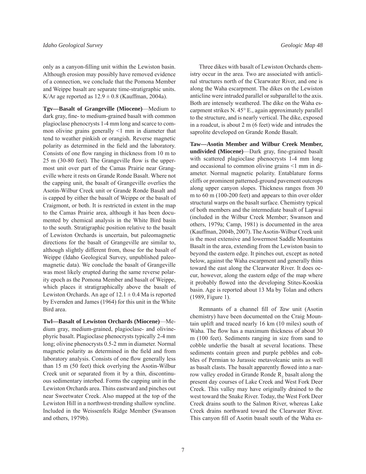only as a canyon-filling unit within the Lewiston basin. Although erosion may possibly have removed evidence of a connection, we conclude that the Pomona Member and Weippe basalt are separate time-stratigraphic units. K/Ar age reported as  $12.9 \pm 0.8$  (Kauffman, 2004a).

**Tgv—Basalt of Grangeville (Miocene)**—Medium to dark gray, fine- to medium-grained basalt with common plagioclase phenocrysts 1-4 mm long and scarce to common olivine grains generally <1 mm in diameter that tend to weather pinkish or orangish. Reverse magnetic polarity as determined in the field and the laboratory. Consists of one flow ranging in thickness from 10 m to  $25 \text{ m}$  (30-80 feet). The Grangeville flow is the uppermost unit over part of the Camas Prairie near Grangeville where it rests on Grande Ronde Basalt. Where not the capping unit, the basalt of Grangeville overlies the Asotin-Wilbur Creek unit or Grande Ronde Basalt and is capped by either the basalt of Weippe or the basalt of Craigmont, or both. It is restricted in extent in the map to the Camas Prairie area, although it has been documented by chemical analysis in the White Bird basin to the south. Stratigraphic position relative to the basalt of Lewiston Orchards is uncertain, but paleomagnetic directions for the basalt of Grangeville are similar to, although slightly different from, those for the basalt of Weippe (Idaho Geological Survey, unpublished paleomagnetic data). We conclude the basalt of Grangeville was most likely erupted during the same reverse polarity epoch as the Pomona Member and basalt of Weippe, which places it stratigraphically above the basalt of Lewiston Orchards. An age of  $12.1 \pm 0.4$  Ma is reported by Evernden and James (1964) for this unit in the White Bird area.

**Twl—Basalt of Lewiston Orchards (Miocene)**—Medium gray, medium-grained, plagioclase- and olivinephyric basalt. Plagioclase phenocrysts typically 2-4 mm long; olivine phenocrysts 0.5-2 mm in diameter. Normal magnetic polarity as determined in the field and from laboratory analysis. Consists of one flow generally less than 15 m (50 feet) thick overlying the Asotin-Wilbur Creek unit or separated from it by a thin, discontinuous sedimentary interbed. Forms the capping unit in the Lewiston Orchards area. Thins eastward and pinches out near Sweetwater Creek. Also mapped at the top of the Lewiston Hill in a northwest-trending shallow syncline. Included in the Weissenfels Ridge Member (Swanson and others, 1979b).

Three dikes with basalt of Lewiston Orchards chemistry occur in the area. Two are associated with anticlinal structures north of the Clearwater River, and one is along the Waha escarpment. The dikes on the Lewiston anticline were intruded parallel or subparallel to the axis. Both are intensely weathered. The dike on the Waha escarpment strikes N. 45° E., again approximately parallel to the structure, and is nearly vertical. The dike, exposed in a roadcut, is about 2 m (6 feet) wide and intrudes the saprolite developed on Grande Ronde Basalt.

**Taw—Asotin Member and Wilbur Creek Member,**  undivided (Miocene)—Dark gray, fine-grained basalt with scattered plagioclase phenocrysts 1-4 mm long and occasional to common olivine grains <1 mm in diameter. Normal magnetic polarity. Entablature forms cliffs or prominent patterned-ground pavement outcrops along upper canyon slopes. Thickness ranges from 30 m to 60 m (100-200 feet) and appears to thin over older structural warps on the basalt surface. Chemistry typical of both members and the intermediate basalt of Lapwai (included in the Wilbur Creek Member; Swanson and others, 1979a; Camp, 1981) is documented in the area (Kauffman, 2004b, 2007). The Asotin-Wilbur Creek unit is the most extensive and lowermost Saddle Mountains Basalt in the area, extending from the Lewiston basin to beyond the eastern edge. It pinches out, except as noted below, against the Waha escarpment and generally thins toward the east along the Clearwater River. It does occur, however, along the eastern edge of the map where it probably flowed into the developing Stites-Kooskia basin. Age is reported about 13 Ma by Tolan and others (1989, Figure 1).

Remnants of a channel fill of *Taw* unit (Asotin chemistry) have been documented on the Craig Mountain uplift and traced nearly 16 km (10 miles) south of Waha. The flow has a maximum thickness of about 30 m (100 feet). Sediments ranging in size from sand to cobble underlie the basalt at several locations. These sediments contain green and purple pebbles and cobbles of Permian to Jurassic metavolcanic units as well as basalt clasts. The basalt apparently flowed into a narrow valley eroded in Grande Ronde  $R_2$  basalt along the present day courses of Lake Creek and West Fork Deer Creek. This valley may have originally drained to the west toward the Snake River. Today, the West Fork Deer Creek drains south to the Salmon River, whereas Lake Creek drains northward toward the Clearwater River. This canyon fill of Asotin basalt south of the Waha es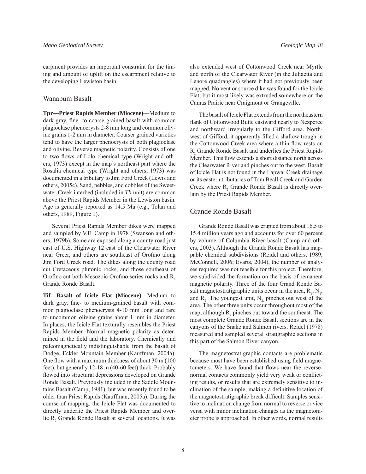carpment provides an important constraint for the timing and amount of uplift on the escarpment relative to the developing Lewiston basin.

#### Wanapum Basalt

**Tpr—Priest Rapids Member (Miocene)**—Medium to dark gray, fine- to coarse-grained basalt with common plagioclase phenocrysts 2-8 mm long and common olivine grains 1-2 mm in diameter. Coarser grained varieties tend to have the larger phenocrysts of both plagioclase and olivine. Reverse magnetic polarity. Consists of one to two flows of Lolo chemical type (Wright and others, 1973) except in the map's northeast part where the Rosalia chemical type (Wright and others, 1973) was documented in a tributary to Jim Ford Creek (Lewis and others, 2005c). Sand, pebbles, and cobbles of the Sweetwater Creek interbed (included in *Tli* unit) are common above the Priest Rapids Member in the Lewiston basin. Age is generally reported as 14.5 Ma (e.g., Tolan and others, 1989, Figure 1).

Several Priest Rapids Member dikes were mapped and sampled by V.E. Camp in 1978 (Swanson and others, 1979b). Some are exposed along a county road just east of U.S. Highway 12 east of the Clearwater River near Greer, and others are southeast of Orofino along Jim Ford Creek road. The dikes along the county road cut Cretaceous plutonic rocks, and those southeast of Orofino cut both Mesozoic Orofino series rocks and R<sub>1</sub> Grande Ronde Basalt.

**Tif—Basalt of Icicle Flat (Miocene)**—Medium to dark gray, fine- to medium-grained basalt with common plagioclase phenocrysts 4-10 mm long and rare to uncommon olivine grains about 1 mm in diameter. In places, the Icicle Flat texturally resembles the Priest Rapids Member. Normal magnetic polarity as determined in the field and the laboratory. Chemically and paleomagnetically indistinguishable from the basalt of Dodge, Eckler Mountain Member (Kauffman, 2004a). One flow with a maximum thickness of about  $30 \text{ m}$  (100) feet), but generally 12-18 m (40-60 feet) thick. Probably flowed into structural depressions developed on Grande Ronde Basalt. Previously included in the Saddle Mountains Basalt (Camp, 1981), but was recently found to be older than Priest Rapids (Kauffman, 2005a). During the course of mapping, the Icicle Flat was documented to directly underlie the Priest Rapids Member and overlie  $R_2$  Grande Ronde Basalt at several locations. It was also extended west of Cottonwood Creek near Myrtle and north of the Clearwater River (in the Juliaetta and Lenore quadrangles) where it had not previously been mapped. No vent or source dike was found for the Icicle Flat, but it most likely was extruded somewhere on the Camas Prairie near Craigmont or Grangeville.

The basalt of Icicle Flat extends from the northeastern flank of Cottonwood Butte eastward nearly to Nezperce and northward irregularly to the Gifford area. Northwest of Gifford, it apparently filled a shallow trough in the Cottonwood Creek area where a thin flow rests on R<sub>2</sub> Grande Ronde Basalt and underlies the Priest Rapids Member. This flow extends a short distance north across the Clearwater River and pinches out to the west. Basalt of Icicle Flat is not found in the Lapwai Creek drainage or its eastern tributaries of Tom Beall Creek and Garden Creek where  $R_2$  Grande Ronde Basalt is directly overlain by the Priest Rapids Member.

#### Grande Ronde Basalt

Grande Ronde Basalt was erupted from about 16.5 to 15.4 million years ago and accounts for over 60 percent by volume of Columbia River basalt (Camp and others, 2003). Although the Grande Ronde Basalt has mappable chemical subdivisions (Reidel and others, 1989; McConnell, 2006; Evarts, 2004), the number of analyses required was not feasible for this project. Therefore, we subdivided the formation on the basis of remanent magnetic polarity. Three of the four Grand Ronde Basalt magnetostratigraphic units occur in the area,  $R_1$ ,  $N_1$ , and  $R_2$ . The youngest unit,  $N_2$  pinches out west of the area. The other three units occur throughout most of the map, although  $R_2$  pinches out toward the southeast. The most complete Grande Ronde Basalt sections are in the canyons of the Snake and Salmon rivers. Reidel (1978) measured and sampled several stratigraphic sections in this part of the Salmon River canyon.

The magnetostratigraphic contacts are problematic because most have been established using field magnetometers. We have found that flows near the reversenormal contacts commonly yield very weak or conflicting results, or results that are extremely sensitive to inclination of the sample, making a definitive location of the magnetostratigraphic break difficult. Samples sensitive to inclination change from normal to reverse or vice versa with minor inclination changes as the magnetometer probe is approached. In other words, normal results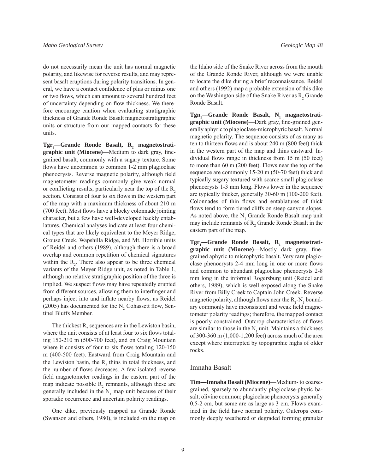do not necessarily mean the unit has normal magnetic polarity, and likewise for reverse results, and may represent basalt eruptions during polarity transitions. In general, we have a contact confidence of plus or minus one or two flows, which can amount to several hundred feet of uncertainty depending on flow thickness. We therefore encourage caution when evaluating stratigraphic thickness of Grande Ronde Basalt magnetostratigraphic units or structure from our mapped contacts for these units.

 $\text{Tgr}_{2}$ —Grande Ronde Basalt, R<sub>2</sub> magnetostrati**graphic unit (Miocene)—Medium to dark gray, fine**grained basalt, commonly with a sugary texture. Some flows have uncommon to common 1-2 mm plagioclase phenocrysts. Reverse magnetic polarity, although field magnetometer readings commonly give weak normal or conflicting results, particularly near the top of the  $R<sub>2</sub>$ section. Consists of four to six flows in the western part of the map with a maximum thickness of about 210 m (700 feet). Most flows have a blocky colonnade jointing character, but a few have well-developed hackly entablatures. Chemical analyses indicate at least four chemical types that are likely equivalent to the Meyer Ridge, Grouse Creek, Wapshilla Ridge, and Mt. Horrible units of Reidel and others (1989), although there is a broad overlap and common repetition of chemical signatures within the  $R_2$ . There also appear to be three chemical variants of the Meyer Ridge unit, as noted in Table 1, although no relative stratigraphic position of the three is implied. We suspect flows may have repeatedly erupted from different sources, allowing them to interfinger and perhaps inject into and inflate nearby flows, as Reidel (2005) has documented for the  $N_2$  Cohassett flow, Sentinel Bluffs Member.

The thickest  $R_2$  sequences are in the Lewiston basin, where the unit consists of at least four to six flows totaling 150-210 m (500-700 feet), and on Craig Mountain where it consists of four to six flows totaling  $120-150$ m (400-500 feet). Eastward from Craig Mountain and the Lewiston basin, the  $R_2$  thins in total thickness, and the number of flows decreases. A few isolated reverse field magnetometer readings in the eastern part of the map indicate possible  $R_2$  remnants, although these are generally included in the  $N_1$  map unit because of their sporadic occurrence and uncertain polarity readings.

One dike, previously mapped as Grande Ronde (Swanson and others, 1980), is included on the map on the Idaho side of the Snake River across from the mouth of the Grande Ronde River, although we were unable to locate the dike during a brief reconnaissance. Reidel and others (1992) map a probable extension of this dike on the Washington side of the Snake River as  $R_2$  Grande Ronde Basalt.

 $Tgn_1$ —Grande Ronde Basalt, N<sub>1</sub> magnetostrati**graphic unit (Miocene)**—Dark gray, fine-grained generally aphyric to plagioclase-microphyric basalt. Normal magnetic polarity. The sequence consists of as many as ten to thirteen flows and is about 240 m (800 feet) thick in the western part of the map and thins eastward. Individual flows range in thickness from  $15 \text{ m}$  (50 feet) to more than 60 m (200 feet). Flows near the top of the sequence are commonly 15-20 m (50-70 feet) thick and typically sugary textured with scarce small plagioclase phenocrysts 1-3 mm long. Flows lower in the sequence are typically thicker, generally 30-60 m (100-200 feet). Colonnades of thin flows and entablatures of thick flows tend to form tiered cliffs on steep canyon slopes. As noted above, the  $N_1$  Grande Ronde Basalt map unit may include remnants of  $R_2$  Grande Ronde Basalt in the eastern part of the map.

 $\text{Tgr}_{1}$ —Grande Ronde Basalt, R<sub>1</sub> magnetostratigraphic unit (Miocene)—Mostly dark gray, finegrained aphyric to microphyric basalt. Very rare plagioclase phenocrysts 2-4 mm long in one or more flows and common to abundant plagioclase phenocrysts 2-8 mm long in the informal Rogersburg unit (Reidel and others, 1989), which is well exposed along the Snake River from Billy Creek to Captain John Creek. Reverse magnetic polarity, although flows near the  $R_1$ - $N_1$  boundary commonly have inconsistent and weak field magnetometer polarity readings; therefore, the mapped contact is poorly constrained. Outcrop characteristics of flows are similar to those in the  $N_1$  unit. Maintains a thickness of 300-360 m (1,000-1,200 feet) across much of the area except where interrupted by topographic highs of older rocks.

#### Imnaha Basalt

**Tim—Imnaha Basalt (Miocene)**—Medium- to coarsegrained, sparsely to abundantly plagioclase-phyric basalt; olivine common; plagioclase phenocrysts generally 0.5-2 cm, but some are as large as 3 cm. Flows examined in the field have normal polarity. Outcrops commonly deeply weathered or degraded forming granular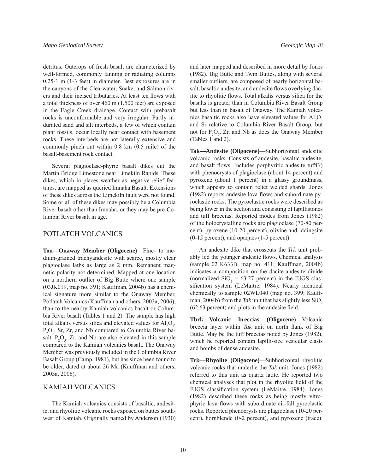detritus. Outcrops of fresh basalt are characterized by well-formed, commonly fanning or radiating columns 0.25-1 m (1-3 feet) in diameter. Best exposures are in the canyons of the Clearwater, Snake, and Salmon rivers and their incised tributaries. At least ten flows with a total thickness of over 460 m (1,500 feet) are exposed in the Eagle Creek drainage. Contact with prebasalt rocks is unconformable and very irregular. Partly indurated sand and silt interbeds, a few of which contain plant fossils, occur locally near contact with basement rocks. These interbeds are not laterally extensive and commonly pinch out within 0.8 km (0.5 mile) of the basalt-basement rock contact.

Several plagioclase-phyric basalt dikes cut the Martin Bridge Limestone near Limekiln Rapids. These dikes, which in places weather as negative-relief features, are mapped as queried Imnaha Basalt. Extensions of these dikes across the Limekiln fault were not found. Some or all of these dikes may possibly be a Columbia River basalt other than Imnaha, or they may be pre-Columbia River basalt in age.

#### POTLATCH VOLCANICS

**Ton—Onaway Member (Oligocene)**—Fine- to medium-grained trachyandesite with scarce, mostly clear plagioclase laths as large as 2 mm. Remanent magnetic polarity not determined. Mapped at one location on a northern outlier of Big Butte where one sample (03JK019, map no. 391; Kauffman, 2004b) has a chemical signature more similar to the Onaway Member, Potlatch Volcanics (Kauffman and others, 2003a, 2006), than to the nearby Kamiah volcanics basalt or Columbia River basalt (Tables 1 and 2). The sample has high total alkalis versus silica and elevated values for  $\text{Al}_2\text{O}_3$ ,  $P_2O_5$ , Sr, Zr, and Nb compared to Columbia River basalt.  $P_2O_5$ , Zr, and Nb are also elevated in this sample compared to the Kamiah volcanics basalt. The Onaway Member was previously included in the Columbia River Basalt Group (Camp, 1981), but has since been found to be older, dated at about 26 Ma (Kauffman and others, 2003a, 2006).

#### KAMIAH VOLCANICS

The Kamiah volcanics consists of basaltic, andesitic, and rhyolitic volcanic rocks exposed on buttes southwest of Kamiah. Originally named by Anderson (1930) and later mapped and described in more detail by Jones (1982). Big Butte and Twin Buttes, along with several smaller outliers, are composed of nearly horizontal basalt, basaltic andesite, and andesite flows overlying dacitic to rhyolitic flows. Total alkalis versus silica for the basalts is greater than in Columbia River Basalt Group but less than in basalt of Onaway. The Kamiah volcanics basaltic rocks also have elevated values for  $\text{Al}_2\text{O}_3$ and Sr relative to Columbia River Basalt Group, but not for  $P_2O_5$ , Zr, and Nb as does the Onaway Member (Tables 1 and 2).

**Tak—Andesite (Oligocene)**—Subhorizontal andesitic volcanic rocks. Consists of andesite, basaltic andesite, and basalt flows. Includes porphyritic andesite tuff(?) with phenocrysts of plagioclase (about 14 percent) and pyroxene (about 1 percent) in a glassy groundmass, which appears to contain relict welded shards. Jones  $(1982)$  reports andesite lava flows and subordinate pyroclastic rocks. The pyroclastic rocks were described as being lower in the section and consisting of lapillistones and tuff breccias. Reported modes from Jones (1982) of the holocrystalline rocks are plagioclase (70-80 percent), pyroxene (10-20 percent), olivine and iddingsite (0-15 percent), and opaques (1-5 percent).

An andesite dike that crosscuts the *Trk* unit probably fed the younger andesite flows. Chemical analysis (sample 02JK633B, map no. 411; Kauffman, 2004b) indicates a composition on the dacite-andesite divide (normalized  $SiO_2 = 63.27$  percent) in the IUGS classification system (LeMaitre, 1984). Nearly identical chemically to sample 02WL040 (map no. 399; Kauffman, 2004b) from the *Tak* unit that has slightly less  $SiO<sub>2</sub>$  $(62.63$  percent) and plots in the andesite field.

**Tbrk—Volcanic breccias (Oligocene)**—Volcanic breccia layer within *Tak* unit on north flank of Big Butte. May be the tuff breccias noted by Jones (1982), which he reported contain lapilli-size vesicular clasts and bombs of dense andesite.

**Trk—Rhyolite (Oligocene)**—Subhorizontal rhyolitic volcanic rocks that underlie the *Tak* unit. Jones (1982) referred to this unit as quartz latite. He reported two chemical analyses that plot in the rhyolite field of the IUGS classification system (LeMaitre, 1984). Jones (1982) described these rocks as being mostly vitrophyric lava flows with subordinate air-fall pyroclastic rocks. Reported phenocrysts are plagioclase (10-20 percent), hornblende (0-2 percent), and pyroxene (trace).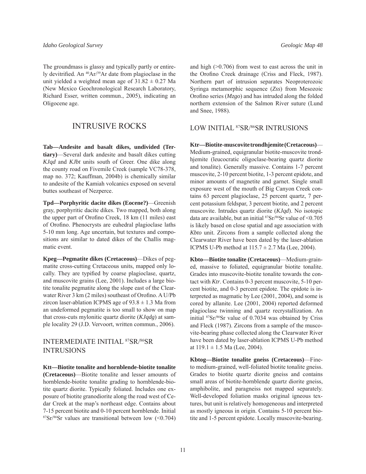The groundmass is glassy and typically partly or entirely devitrified. An  $^{40}Ar/^{39}Ar$  date from plagioclase in the unit yielded a weighted mean age of  $31.82 \pm 0.27$  Ma (New Mexico Geochronological Research Laboratory, Richard Esser, written commun., 2005), indicating an Oligocene age.

## INTRUSIVE ROCKS

**Tab—Andesite and basalt dikes, undivided (Tertiary)**—Several dark andesite and basalt dikes cutting *KJqd* and *KJbt* units south of Greer. One dike along the county road on Fivemile Creek (sample VC78-378, map no. 372; Kauffman, 2004b) is chemically similar to andesite of the Kamiah volcanics exposed on several buttes southeast of Nezperce.

**Tpd—Porphyritic dacite dikes (Eocene?)**—Greenish gray, porphyritic dacite dikes. Two mapped, both along the upper part of Orofino Creek, 18 km (11 miles) east of Orofino. Phenocrysts are euhedral plagioclase laths 5-10 mm long. Age uncertain, but textures and compositions are similar to dated dikes of the Challis magmatic event.

**Kpeg—Pegmatite dikes (Cretaceous)**—Dikes of pegmatite cross-cutting Cretaceous units, mapped only locally. They are typified by coarse plagioclase, quartz, and muscovite grains (Lee, 2001). Includes a large biotite tonalite pegmatite along the slope east of the Clearwater River 3 km (2 miles) southeast of Orofino. A U/Pb zircon laser-ablation ICPMS age of  $93.8 \pm 1.3$  Ma from an undeformed pegmatite is too small to show on map that cross-cuts mylonitic quartz diorite (*KJqdg*) at sample locality 29 (J.D. Vervoort, written commun., 2006).

## INTERMEDIATE INITIAL 87SR/86SR INTRUSIONS

**Ktt—Biotite tonalite and hornblende-biotite tonalite (Cretaceous)**—Biotite tonalite and lesser amounts of hornblende-biotite tonalite grading to hornblende-biotite quartz diorite. Typically foliated. Includes one exposure of biotite granodiorite along the road west of Cedar Creek at the map's northeast edge. Contains about 7-15 percent biotite and 0-10 percent hornblende. Initial  $87Sr/86Sr$  values are transitional between low (<0.704) and high  $(>0.706)$  from west to east across the unit in the Orofino Creek drainage (Criss and Fleck, 1987). Northern part of intrusion separates Neoproterozoic Syringa metamorphic sequence (*Zss*) from Mesozoic Orofino series (*Mzgo*) and has intruded along the folded northern extension of the Salmon River suture (Lund and Snee, 1988).

#### LOW INITIAL 87SR/86SR INTRUSIONS

**Ktr—Biotite-muscovite trondhjemite (Cretaceous)**— Medium-grained, equigranular biotite-muscovite trondhjemite (leucocratic oligoclase-bearing quartz diorite and tonalite). Generally massive. Contains 1-7 percent muscovite, 2-10 percent biotite, 1-3 percent epidote, and minor amounts of magnetite and garnet. Single small exposure west of the mouth of Big Canyon Creek contains 63 percent plagioclase, 25 percent quartz, 7 percent potassium feldspar, 3 percent biotite, and 2 percent muscovite. Intrudes quartz diorite (*KJqd*). No isotopic data are available, but an initial  ${}^{87}Sr/{}^{86}Sr$  value of <0.705 is likely based on close spatial and age association with *Kbto* unit. Zircons from a sample collected along the Clearwater River have been dated by the laser-ablation ICPMS U-Pb method at  $115.7 \pm 2.7$  Ma (Lee, 2004).

**Kbto—Biotite tonalite (Cretaceous)**—Medium-grained, massive to foliated, equigranular biotite tonalite. Grades into muscovite-biotite tonalite towards the contact with *Ktr*. Contains 0-3 percent muscovite, 5-10 percent biotite, and 0-3 percent epidote. The epidote is interpreted as magmatic by Lee (2001, 2004), and some is cored by allanite. Lee (2001, 2004) reported deformed plagioclase twinning and quartz recrystallization. An initial 87Sr/86Sr value of 0.7034 was obtained by Criss and Fleck (1987). Zircons from a sample of the muscovite-bearing phase collected along the Clearwater River have been dated by laser-ablation ICPMS U-Pb method at  $119.1 \pm 1.5$  Ma (Lee, 2004).

**Kbtog—Biotite tonalite gneiss (Cretaceous)**—Fineto medium-grained, well-foliated biotite tonalite gneiss. Grades to biotite quartz diorite gneiss and contains small areas of biotite-hornblende quartz diorite gneiss, amphibolite, and paragneiss not mapped separately. Well-developed foliation masks original igneous textures, but unit is relatively homogeneous and interpreted as mostly igneous in origin. Contains 5-10 percent biotite and 1-5 percent epidote. Locally muscovite-bearing.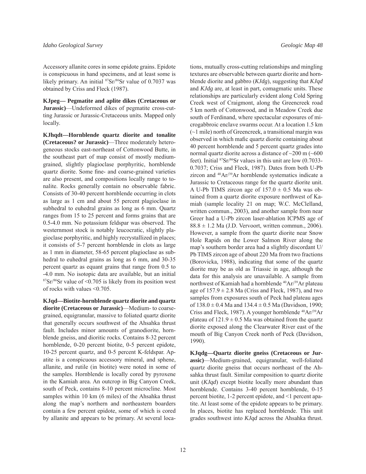Accessory allanite cores in some epidote grains. Epidote is conspicuous in hand specimens, and at least some is likely primary. An initial <sup>87</sup>Sr/<sup>86</sup>Sr value of 0.7037 was obtained by Criss and Fleck (1987).

**KJpeg— Pegmatite and aplite dikes (Cretaceous or Jurassic)**—Undeformed dikes of pegmatite cross-cutting Jurassic or Jurassic-Cretaceous units. Mapped only locally.

**KJhqdt—Hornblende quartz diorite and tonalite (Cretaceous? or Jurassic)**—Three moderately heterogeneous stocks east-northeast of Cottonwood Butte, in the southeast part of map consist of mostly mediumgrained, slightly plagioclase porphyritic, hornblende quartz diorite. Some fine- and coarse-grained varieties are also present, and compositions locally range to tonalite. Rocks generally contain no observable fabric. Consists of 30-40 percent hornblende occurring in clots as large as 1 cm and about 55 percent plagioclase in subhedral to euhedral grains as long as 6 mm. Quartz ranges from 15 to 25 percent and forms grains that are 0.5-4.0 mm. No potassium feldspar was observed. The westernmost stock is notably leucocratic, slightly plagioclase porphyritic, and highly recrystallized in places; it consists of 5-7 percent hornblende in clots as large as 1 mm in diameter, 58-65 percent plagioclase as subhedral to euhedral grains as long as 6 mm, and 30-35 percent quartz as equant grains that range from 0.5 to -4.0 mm. No isotopic data are available, but an initial  $87Sr/86Sr$  value of <0.705 is likely from its position west of rocks with values <0.705.

**KJqd—Biotite-hornblende quartz diorite and quartz diorite (Cretaceous or Jurassic)**—Medium- to coarsegrained, equigranular, massive to foliated quartz diorite that generally occurs southwest of the Ahsahka thrust fault. Includes minor amounts of granodiorite, hornblende gneiss, and dioritic rocks. Contains 8-32 percent hornblende, 0-20 percent biotite, 0-5 percent epidote, 10-25 percent quartz, and 0-5 percent K-feldspar. Apatite is a conspicuous accessory mineral, and sphene, allanite, and rutile (in biotite) were noted in some of the samples. Hornblende is locally cored by pyroxene in the Kamiah area. An outcrop in Big Canyon Creek, south of Peck, contains 8-10 percent microcline. Most samples within 10 km (6 miles) of the Ahsahka thrust along the map's northern and northeastern boarders contain a few percent epidote, some of which is cored by allanite and appears to be primary. At several locations, mutually cross-cutting relationships and mingling textures are observable between quartz diorite and hornblende diorite and gabbro (*KJdg*), suggesting that *KJqd* and *KJdg* are, at least in part, comagmatic units. These relationships are particularly evident along Cold Spring Creek west of Craigmont, along the Greencreek road 5 km north of Cottonwood, and in Meadow Creek due south of Ferdinand, where spectacular exposures of microgabbroic enclave swarms occur. At a location 1.5 km (~1 mile) north of Greencreek, a transitional margin was observed in which mafic quartz diorite containing about 40 percent hornblende and 5 percent quartz grades into normal quartz diorite across a distance of  $\sim$ 200 m ( $\sim$ 600 feet). Initial 87Sr/86Sr values in this unit are low (0.7033- 0.7037; Criss and Fleck, 1987). Dates from both U-Pb zircon and 40Ar/39Ar hornblende systematics indicate a Jurassic to Cretaceous range for the quartz diorite unit. A U-Pb TIMS zircon age of  $157.0 \pm 0.5$  Ma was obtained from a quartz diorite exposure northwest of Kamiah (sample locality 21 on map; W.C. McClelland, written commun., 2003), and another sample from near Greer had a U-Pb zircon laser-ablation ICPMS age of  $88.8 \pm 1.2$  Ma (J.D. Vervoort, written commun., 2006). However, a sample from the quartz diorite near Snow Hole Rapids on the Lower Salmon River along the map's southern border area had a slightly discordant U/ Pb TIMS zircon age of about 220 Ma from two fractions (Borovicka, 1988), indicating that some of the quartz diorite may be as old as Triassic in age, although the data for this analysis are unavailable. A sample from northwest of Kamiah had a hornblende <sup>40</sup>Ar/<sup>39</sup>Ar plateau age of  $157.9 \pm 2.8$  Ma (Criss and Fleck, 1987), and two samples from exposures south of Peck had plateau ages of  $138.0 \pm 0.4$  Ma and  $134.4 \pm 0.5$  Ma (Davidson, 1990; Criss and Fleck, 1987). A younger hornblende <sup>40</sup>Ar/<sup>39</sup>Ar plateau of  $121.9 \pm 0.5$  Ma was obtained from the quartz diorite exposed along the Clearwater River east of the mouth of Big Canyon Creek north of Peck (Davidson, 1990).

**KJqdg—Quartz diorite gneiss (Cretaceous or Jurassic)**—Medium-grained, equigranular, well-foliated quartz diorite gneiss that occurs northeast of the Ahsahka thrust fault. Similar composition to quartz diorite unit (*KJqd*) except biotite locally more abundant than hornblende. Contains 3-40 percent hornblende, 0-15 percent biotite, 1-2 percent epidote, and <1 percent apatite. At least some of the epidote appears to be primary. In places, biotite has replaced hornblende. This unit grades southwest into *KJqd* across the Ahsahka thrust.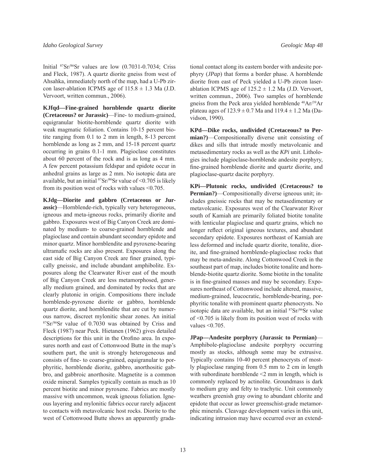Initial 87Sr/86Sr values are low (0.7031-0.7034; Criss and Fleck, 1987). A quartz diorite gneiss from west of Ahsahka, immediately north of the map, had a U-Pb zircon laser-ablation ICPMS age of  $115.8 \pm 1.3$  Ma (J.D. Vervoort, written commun., 2006).

**KJfqd—Fine-grained hornblende quartz diorite (Cretaceous? or Jurassic)**—Fine- to medium-grained, equigranular biotite-hornblende quartz diorite with weak magmatic foliation. Contains 10-15 percent biotite ranging from 0.1 to 2 mm in length, 8-13 percent hornblende as long as 2 mm, and 15-18 percent quartz occurring in grains 0.1-1 mm. Plagioclase constitutes about 60 percent of the rock and is as long as 4 mm. A few percent potassium feldspar and epidote occur in anhedral grains as large as 2 mm. No isotopic data are available, but an initial  ${}^{87}Sr/{}^{86}Sr$  value of <0.705 is likely from its position west of rocks with values <0.705.

**KJdg—Diorite and gabbro (Cretaceous or Jurassic)**—Hornblende-rich, typically very heterogeneous, igneous and meta-igneous rocks, primarily diorite and gabbro. Exposures west of Big Canyon Creek are dominated by medium- to coarse-grained hornblende and plagioclase and contain abundant secondary epidote and minor quartz. Minor hornblendite and pyroxene-bearing ultramafic rocks are also present. Exposures along the east side of Big Canyon Creek are finer grained, typically gneissic, and include abundant amphibolite. Exposures along the Clearwater River east of the mouth of Big Canyon Creek are less metamorphosed, generally medium grained, and dominated by rocks that are clearly plutonic in origin. Compositions there include hornblende-pyroxene diorite or gabbro, hornblende quartz diorite, and hornblendite that are cut by numerous narrow, discreet mylonitic shear zones. An initial 87Sr/86Sr value of 0.7030 was obtained by Criss and Fleck (1987) near Peck. Hietanen (1962) gives detailed descriptions for this unit in the Orofino area. In exposures north and east of Cottonwood Butte in the map's southern part, the unit is strongly heterogeneous and consists of fine- to coarse-grained, equigranular to porphyritic, hornblende diorite, gabbro, anorthositic gabbro, and gabbroic anorthosite. Magnetite is a common oxide mineral. Samples typically contain as much as 10 percent biotite and minor pyroxene. Fabrics are mostly massive with uncommon, weak igneous foliation. Igneous layering and mylonitic fabrics occur rarely adjacent to contacts with metavolcanic host rocks. Diorite to the west of Cottonwood Butte shows an apparently gradational contact along its eastern border with andesite porphyry (*JPap*) that forms a border phase. A hornblende diorite from east of Peck yielded a U-Pb zircon laserablation ICPMS age of  $125.2 \pm 1.2$  Ma (J.D. Vervoort, written commun., 2006). Two samples of hornblende gneiss from the Peck area yielded hornblende <sup>40</sup>Ar/<sup>39</sup>Ar plateau ages of  $123.9 \pm 0.7$  Ma and  $119.4 \pm 1.2$  Ma (Davidson, 1990).

**KPd—Dike rocks, undivided (Cretaceous? to Permian?)**—Compositionally diverse unit consisting of dikes and sills that intrude mostly metavolcanic and metasedimentary rocks as well as the *KPi* unit. Lithologies include plagioclase-hornblende andesite porphyry, fine-grained hornblende diorite and quartz diorite, and plagioclase-quartz dacite porphyry.

**KPi—Plutonic rocks, undivided (Cretaceous? to Permian?)**—Compositionally diverse igneous unit; includes gneissic rocks that may be metasedimentary or metavolcanic. Exposures west of the Clearwater River south of Kamiah are primarily foliated biotite tonalite with lenticular plagioclase and quartz grains, which no longer reflect original igneous textures, and abundant secondary epidote. Exposures northeast of Kamiah are less deformed and include quartz diorite, tonalite, diorite, and fine-grained hornblende-plagioclase rocks that may be meta-andesite. Along Cottonwood Creek in the southeast part of map, includes biotite tonalite and hornblende-biotite quartz diorite. Some biotite in the tonalite is in fine-grained masses and may be secondary. Exposures northeast of Cottonwood include altered, massive, medium-grained, leucocratic, hornblende-bearing, porphyritic tonalite with prominent quartz phenocrysts. No isotopic data are available, but an initial  ${}^{87}Sr/{}^{86}Sr$  value of <0.705 is likely from its position west of rocks with values <0.705.

**JPap—Andesite porphyry (Jurassic to Permian)**— Amphibole-plagioclase andesite porphyry occurring mostly as stocks, although some may be extrusive. Typically contains 10-40 percent phenocrysts of mostly plagioclase ranging from 0.5 mm to 2 cm in length with subordinate hornblende  $\leq$  2 mm in length, which is commonly replaced by actinolite. Groundmass is dark to medium gray and felty to trachytic. Unit commonly weathers greenish gray owing to abundant chlorite and epidote that occur as lower greenschist-grade metamorphic minerals. Cleavage development varies in this unit, indicating intrusion may have occurred over an extend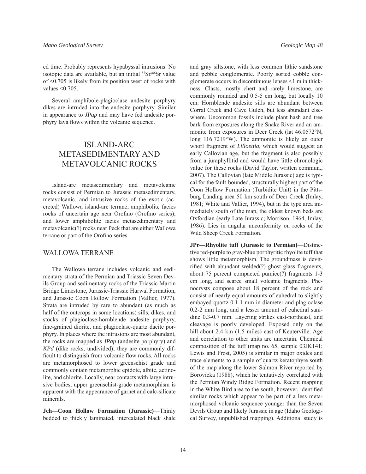ed time. Probably represents hypabyssal intrusions. No isotopic data are available, but an initial <sup>87</sup>Sr/<sup>86</sup>Sr value of <0.705 is likely from its position west of rocks with values  $\leq 0.705$ .

Several amphibole-plagioclase andesite porphyry dikes are intruded into the andesite porphyry. Similar in appearance to *JPap* and may have fed andesite porphyry lava flows within the volcanic sequence.

## ISLAND-ARC METASEDIMENTARY AND METAVOLCANIC ROCKS

Island-arc metasedimentary and metavolcanic rocks consist of Permian to Jurassic metasedimentary, metavolcanic, and intrusive rocks of the exotic (accreted) Wallowa island-arc terrane; amphibolite facies rocks of uncertain age near Orofino (Orofino series); and lower amphibolite facies metasedimentary and metavolcanic(?) rocks near Peck that are either Wallowa terrane or part of the Orofino series.

#### WALLOWA TERRANE

The Wallowa terrane includes volcanic and sedimentary strata of the Permian and Triassic Seven Devils Group and sedimentary rocks of the Triassic Martin Bridge Limestone, Jurassic-Triassic Hurwal Formation, and Jurassic Coon Hollow Formation (Vallier, 1977). Strata are intruded by rare to abundant (as much as half of the outcrops in some locations) sills, dikes, and stocks of plagioclase-hornblende andesite porphyry, fine-grained diorite, and plagioclase-quartz dacite porphyry. In places where the intrusions are most abundant, the rocks are mapped as *JPap* (andesite porphyry) and *KPd* (dike rocks, undivided); they are commonly difficult to distinguish from volcanic flow rocks. All rocks are metamorphosed to lower greenschist grade and commonly contain metamorphic epidote, albite, actinolite, and chlorite. Locally, near contacts with large intrusive bodies, upper greenschist-grade metamorphism is apparent with the appearance of garnet and calc-silicate minerals.

**Jch—Coon Hollow Formation (Jurassic)**—Thinly bedded to thickly laminated, intercalated black shale and gray siltstone, with less common lithic sandstone and pebble conglomerate. Poorly sorted cobble conglomerate occurs in discontinuous lenses <1 m in thickness. Clasts, mostly chert and rarely limestone, are commonly rounded and 0.5-5 cm long, but locally 10 cm. Hornblende andesite sills are abundant between Corral Creek and Cave Gulch, but less abundant elsewhere. Uncommon fossils include plant hash and tree bark from exposures along the Snake River and an ammonite from exposures in Deer Creek (lat 46.0572°N, long 116.7219°W). The ammonite is likely an outer whorl fragment of *Lilloettia*, which would suggest an early Callovian age, but the fragment is also possibly from a juraphyllitid and would have little chronologic value for these rocks (David Taylor, written commun., 2007). The Callovian (late Middle Jurassic) age is typical for the fault-bounded, structurally highest part of the Coon Hollow Formation (Turbidite Unit) in the Pittsburg Landing area 50 km south of Deer Creek (Imlay, 1981; White and Vallier, 1994), but in the type area immediately south of the map, the oldest known beds are Oxfordian (early Late Jurassic; Morrison, 1964, Imlay, 1986). Lies in angular unconformity on rocks of the Wild Sheep Creek Formation.

**JPr—Rhyolite tuff (Jurassic to Permian)**—Distinctive red-purple to gray-blue porphyritic rhyolite tuff that shows little metamorphism. The groundmass is devitrified with abundant welded(?) ghost glass fragments, about 75 percent compacted pumice(?) fragments 1-3 cm long, and scarce small volcanic fragments. Phenocrysts compose about 18 percent of the rock and consist of nearly equal amounts of euhedral to slightly embayed quartz 0.1-1 mm in diameter and plagioclase 0.2-2 mm long, and a lesser amount of euhedral sanidine 0.3-0.7 mm. Layering strikes east-northeast, and cleavage is poorly developed. Exposed only on the hill about 2.4 km (1.5 miles) east of Keuterville. Age and correlation to other units are uncertain. Chemical composition of the tuff (map no. 65, sample 03JK141; Lewis and Frost, 2005) is similar in major oxides and trace elements to a sample of quartz keratophyre south of the map along the lower Salmon River reported by Borovicka (1988), which he tentatively correlated with the Permian Windy Ridge Formation. Recent mapping in the White Bird area to the south, however, identified similar rocks which appear to be part of a less metamorphosed volcanic sequence younger than the Seven Devils Group and likely Jurassic in age (Idaho Geological Survey, unpublished mapping). Additional study is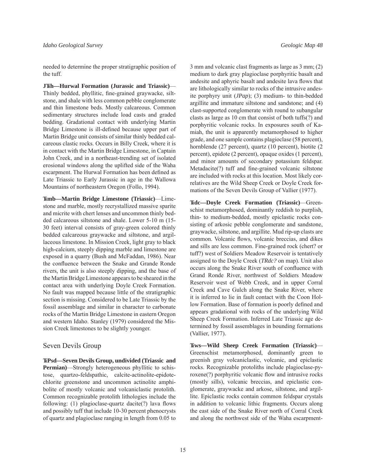needed to determine the proper stratigraphic position of the tuff.

**JTRh—Hurwal Formation (Jurassic and Triassic)**— Thinly bedded, phyllitic, fine-grained graywacke, siltstone, and shale with less common pebble conglomerate and thin limestone beds. Mostly calcareous. Common sedimentary structures include load casts and graded bedding. Gradational contact with underlying Martin Bridge Limestone is ill-defined because upper part of Martin Bridge unit consists of similar thinly bedded calcareous clastic rocks. Occurs in Billy Creek, where it is in contact with the Martin Bridge Limestone, in Captain John Creek, and in a northeast-trending set of isolated erosional windows along the uplifted side of the Waha escarpment. The Hurwal Formation has been defined as Late Triassic to Early Jurassic in age in the Wallowa Mountains of northeastern Oregon (Follo, 1994).

**TRmb—Martin Bridge Limestone (Triassic)**—Limestone and marble, mostly recrystallized massive sparite and micrite with chert lenses and uncommon thinly bedded calcareous siltstone and shale. Lower 5-10 m (15- 30 feet) interval consists of gray-green colored thinly bedded calcareous graywacke and siltstone, and argillaceous limestone. In Mission Creek, light gray to black high-calcium, steeply dipping marble and limestone are exposed in a quarry (Bush and McFaddan, 1986). Near the confluence between the Snake and Grande Ronde rivers, the unit is also steeply dipping, and the base of the Martin Bridge Limestone appears to be sheared in the contact area with underlying Doyle Creek Formation. No fault was mapped because little of the stratigraphic section is missing. Considered to be Late Triassic by the fossil assemblage and similar in character to carbonate rocks of the Martin Bridge Limestone in eastern Oregon and western Idaho. Stanley (1979) considered the Mission Creek limestones to be slightly younger.

#### Seven Devils Group

**TRPsd—Seven Devils Group, undivided (Triassic and Permian)**—Strongly heterogeneous phyllitic to schistose, quartzo-feldspathic, calcite-actinolite-epidotechlorite greenstone and uncommon actinolite amphibolite of mostly volcanic and volcaniclastic protolith. Common recognizable protolith lithologies include the following:  $(1)$  plagioclase-quartz dacite $(?)$  lava flows and possibly tuff that include 10-30 percent phenocrysts of quartz and plagioclase ranging in length from 0.05 to

3 mm and volcanic clast fragments as large as 3 mm; (2) medium to dark gray plagioclase porphyritic basalt and andesite and aphyric basalt and andesite lava flows that are lithologically similar to rocks of the intrusive andesite porphyry unit (*JPap*); (3) medium- to thin-bedded argillite and immature siltstone and sandstone; and (4) clast-supported conglomerate with round to subangular clasts as large as 10 cm that consist of both tuffs(?) and porphyritic volcanic rocks. In exposures south of Kamiah, the unit is apparently metamorphosed to higher grade, and one sample contains plagioclase (58 percent), hornblende (27 percent), quartz (10 percent), biotite (2 percent), epidote (2 percent), opaque oxides (1 percent), and minor amounts of secondary potassium feldspar.  $Metadacite(?)$  tuff and fine-grained volcanic siltstone are included with rocks at this location. Most likely correlatives are the Wild Sheep Creek or Doyle Creek formations of the Seven Devils Group of Vallier (1977).

**TRdc—Doyle Creek Formation (Triassic)**—Greenschist metamorphosed, dominantly reddish to purplish, thin- to medium-bedded, mostly epiclastic rocks consisting of arkosic pebble conglomerate and sandstone, graywacke, siltstone, and argillite. Mud rip-up clasts are common. Volcanic flows, volcanic breccias, and dikes and sills are less common. Fine-grained rock (chert? or tuff?) west of Soldiers Meadow Reservoir is tentatively assigned to the Doyle Creek (*TRdc?* on map). Unit also occurs along the Snake River south of confluence with Grand Ronde River, northwest of Soldiers Meadow Reservoir west of Webb Creek, and in upper Corral Creek and Cave Gulch along the Snake River, where it is inferred to lie in fault contact with the Coon Hollow Formation. Base of formation is poorly defined and appears gradational with rocks of the underlying Wild Sheep Creek Formation. Inferred Late Triassic age determined by fossil assemblages in bounding formations (Vallier, 1977).

**TRws—Wild Sheep Creek Formation (Triassic)**— Greenschist metamorphosed, dominantly green to greenish gray volcaniclastic, volcanic, and epiclastic rocks. Recognizable protoliths include plagioclase-pyroxene(?) porphyritic volcanic flow and intrusive rocks (mostly sills), volcanic breccias, and epiclastic conglomerate, graywacke and arkose, siltstone, and argillite. Epiclastic rocks contain common feldspar crystals in addition to volcanic lithic fragments. Occurs along the east side of the Snake River north of Corral Creek and along the northwest side of the Waha escarpment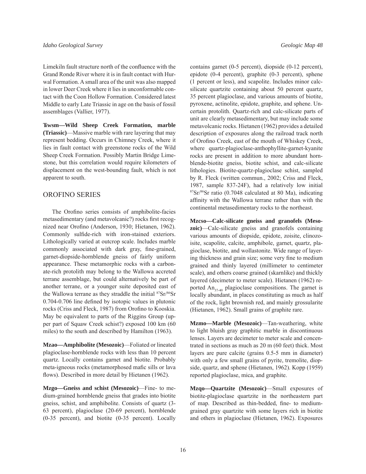Limekiln fault structure north of the confluence with the Grand Ronde River where it is in fault contact with Hurwal Formation. A small area of the unit was also mapped in lower Deer Creek where it lies in unconformable contact with the Coon Hollow Formation. Considered latest Middle to early Late Triassic in age on the basis of fossil assemblages (Vallier, 1977).

**TRwsm—Wild Sheep Creek Formation, marble (Triassic)**—Massive marble with rare layering that may represent bedding. Occurs in Chimney Creek, where it lies in fault contact with greenstone rocks of the Wild Sheep Creek Formation. Possibly Martin Bridge Limestone, but this correlation would require kilometers of displacement on the west-bounding fault, which is not apparent to south.

#### OROFINO SERIES

The Orofino series consists of amphibolite-facies metasedimentary (and metavolcanic?) rocks first recognized near Orofino (Anderson, 1930; Hietanen, 1962). Commonly sulfide-rich with iron-stained exteriors. Lithologically varied at outcrop scale. Includes marble commonly associated with dark gray, fine-grained, garnet-diopside-hornblende gneiss of fairly uniform appearance. These metamorphic rocks with a carbonate-rich protolith may belong to the Wallowa accreted terrane assemblage, but could alternatively be part of another terrane, or a younger suite deposited east of the Wallowa terrane as they straddle the initial  $87\text{Sr}/86\text{Sr}$  $0.704-0.706$  line defined by isotopic values in plutonic rocks (Criss and Fleck, 1987) from Orofino to Kooskia. May be equivalent to parts of the Riggins Group (upper part of Squaw Creek schist?) exposed 100 km (60 miles) to the south and described by Hamilton (1963).

**Mzao—Amphibolite (Mesozoic)**—Foliated or lineated plagioclase-hornblende rocks with less than 10 percent quartz. Locally contains garnet and biotite. Probably meta-igneous rocks (metamorphosed mafic sills or lava flows). Described in more detail by Hietanen (1962).

**Mzgo—Gneiss and schist (Mesozoic)**—Fine- to medium-grained hornblende gneiss that grades into biotite gneiss, schist, and amphibolite. Consists of quartz (3- 63 percent), plagioclase (20-69 percent), hornblende (0-35 percent), and biotite (0-35 percent). Locally contains garnet (0-5 percent), diopside (0-12 percent), epidote (0-4 percent), graphite (0-3 percent), sphene (1 percent or less), and scapolite. Includes minor calcsilicate quartzite containing about 50 percent quartz, 35 percent plagioclase, and various amounts of biotite, pyroxene, actinolite, epidote, graphite, and sphene. Uncertain protolith. Quartz-rich and calc-silicate parts of unit are clearly metasedimentary, but may include some metavolcanic rocks. Hietanen (1962) provides a detailed description of exposures along the railroad track north of Orofino Creek, east of the mouth of Whiskey Creek, where quartz-plagioclase-anthophyllite-garnet-kyanite rocks are present in addition to more abundant hornblende-biotite gneiss, biotite schist, and calc-silicate lithologies. Biotite-quartz-plagioclase schist, sampled by R. Fleck (written commun., 2002; Criss and Fleck, 1987, sample 837-24F), had a relatively low initial 87Sr/86Sr ratio (0.7048 calculated at 80 Ma), indicating affinity with the Wallowa terrane rather than with the continental metasedimentary rocks to the northeast.

**Mzcso—Calc-silicate gneiss and granofels (Mesozoic)**—Calc-silicate gneiss and granofels containing various amounts of diopside, epidote, zoisite, clinozoisite, scapolite, calcite, amphibole, garnet, quartz, plagioclase, biotite, and wollastonite. Wide range of layering thickness and grain size; some very fine to medium grained and thinly layered (millimeter to centimeter scale), and others coarse grained (skarnlike) and thickly layered (decimeter to meter scale). Hietanen (1962) reported  $An_{37-40}$  plagioclase compositions. The garnet is locally abundant, in places constituting as much as half of the rock, light brownish red, and mainly grossularite (Hietanen, 1962). Small grains of graphite rare.

**Mzmo—Marble (Mesozoic)**—Tan-weathering, white to light bluish gray graphitic marble in discontinuous lenses. Layers are decimeter to meter scale and concentrated in sections as much as 20 m (60 feet) thick. Most layers are pure calcite (grains 0.5-5 mm in diameter) with only a few small grains of pyrite, tremolite, diopside, quartz, and sphene (Hietanen, 1962). Kopp (1959) reported plagioclase, mica, and graphite.

**Mzqo—Quartzite (Mesozoic)**—Small exposures of biotite-plagioclase quartzite in the northeastern part of map. Described as thin-bedded, fine- to mediumgrained gray quartzite with some layers rich in biotite and others in plagioclase (Hietanen, 1962). Exposures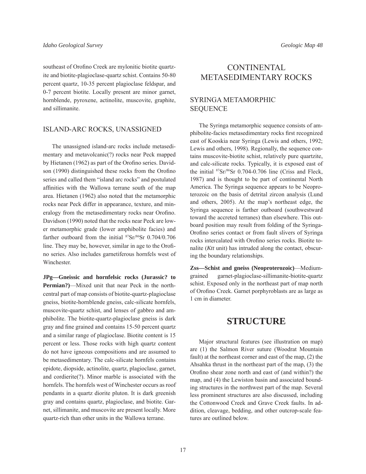southeast of Orofino Creek are mylonitic biotite quartzite and biotite-plagioclase-quartz schist. Contains 50-80 percent quartz, 10-35 percent plagioclase feldspar, and 0-7 percent biotite. Locally present are minor garnet, hornblende, pyroxene, actinolite, muscovite, graphite, and sillimanite.

#### ISLAND-ARC ROCKS, UNASSIGNED

The unassigned island-arc rocks include metasedimentary and metavolcanic(?) rocks near Peck mapped by Hietanen (1962) as part of the Orofino series. Davidson (1990) distinguished these rocks from the Orofino series and called them "island arc rocks" and postulated affinities with the Wallowa terrane south of the map area. Hietanen (1962) also noted that the metamorphic rocks near Peck differ in appearance, texture, and mineralogy from the metasedimentary rocks near Orofino. Davidson (1990) noted that the rocks near Peck are lower metamorphic grade (lower amphibolite facies) and farther outboard from the initial <sup>87</sup>Sr/<sup>86</sup>Sr 0.704/0.706 line. They may be, however, similar in age to the Orofino series. Also includes garnetiferous hornfels west of **Winchester** 

**JPg—Gneissic and hornfelsic rocks (Jurassic? to Permian?)**—Mixed unit that near Peck in the northcentral part of map consists of biotite-quartz-plagioclase gneiss, biotite-hornblende gneiss, calc-silicate hornfels, muscovite-quartz schist, and lenses of gabbro and amphibolite. The biotite-quartz-plagioclase gneiss is dark gray and fine grained and contains 15-50 percent quartz and a similar range of plagioclase. Biotite content is 15 percent or less. Those rocks with high quartz content do not have igneous compositions and are assumed to be metasedimentary. The calc-silicate hornfels contains epidote, diopside, actinolite, quartz, plagioclase, garnet, and cordierite(?). Minor marble is associated with the hornfels. The hornfels west of Winchester occurs as roof pendants in a quartz diorite pluton. It is dark greenish gray and contains quartz, plagioclase, and biotite. Garnet, sillimanite, and muscovite are present locally. More quartz-rich than other units in the Wallowa terrane.

## **CONTINENTAL** METASEDIMENTARY ROCKS

#### SYRINGA METAMORPHIC SEQUENCE

The Syringa metamorphic sequence consists of amphibolite-facies metasedimentary rocks first recognized east of Kooskia near Syringa (Lewis and others, 1992; Lewis and others, 1998). Regionally, the sequence contains muscovite-biotite schist, relatively pure quartzite, and calc-silicate rocks. Typically, it is exposed east of the initial 87Sr/86Sr 0.704-0.706 line (Criss and Fleck, 1987) and is thought to be part of continental North America. The Syringa sequence appears to be Neoproterozoic on the basis of detrital zircon analysis (Lund and others, 2005). At the map's northeast edge, the Syringa sequence is farther outboard (southwestward toward the accreted terranes) than elsewhere. This outboard position may result from folding of the Syringa-Orofino series contact or from fault slivers of Syringa rocks intercalated with Orofino series rocks. Biotite tonalite (*Ktt* unit) has intruded along the contact, obscuring the boundary relationships.

**Zss—Schist and gneiss (Neoproterozoic)**—Mediumgrained garnet-plagioclase-sillimanite-biotite-quartz schist. Exposed only in the northeast part of map north of Orofino Creek. Garnet porphyroblasts are as large as 1 cm in diameter.

## **STRUCTURE**

Major structural features (see illustration on map) are (1) the Salmon River suture (Woodrat Mountain fault) at the northeast corner and east of the map, (2) the Ahsahka thrust in the northeast part of the map, (3) the Orofino shear zone north and east of (and within?) the map, and (4) the Lewiston basin and associated bounding structures in the northwest part of the map. Several less prominent structures are also discussed, including the Cottonwood Creek and Grave Creek faults. In addition, cleavage, bedding, and other outcrop-scale features are outlined below.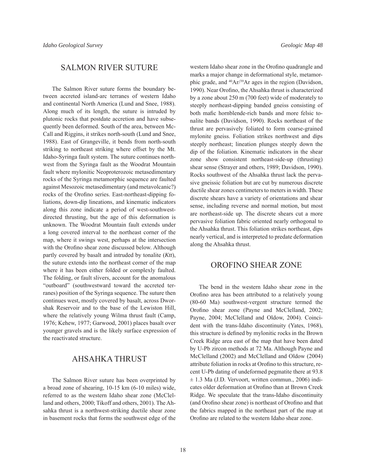## SALMON RIVER SUTURE

The Salmon River suture forms the boundary between accreted island-arc terranes of western Idaho and continental North America (Lund and Snee, 1988). Along much of its length, the suture is intruded by plutonic rocks that postdate accretion and have subsequently been deformed. South of the area, between Mc-Call and Riggins, it strikes north-south (Lund and Snee, 1988). East of Grangeville, it bends from north-south striking to northeast striking where offset by the Mt. Idaho-Syringa fault system. The suture continues northwest from the Syringa fault as the Woodrat Mountain fault where mylonitic Neoproterozoic metasedimentary rocks of the Syringa metamorphic sequence are faulted against Mesozoic metasedimentary (and metavolcanic?) rocks of the Orofino series. East-northeast-dipping foliations, down-dip lineations, and kinematic indicators along this zone indicate a period of west-southwestdirected thrusting, but the age of this deformation is unknown. The Woodrat Mountain fault extends under a long covered interval to the northeast corner of the map, where it swings west, perhaps at the intersection with the Orofino shear zone discussed below. Although partly covered by basalt and intruded by tonalite (*Ktt*), the suture extends into the northeast corner of the map where it has been either folded or complexly faulted. The folding, or fault slivers, account for the anomalous "outboard" (southwestward toward the accreted terranes) position of the Syringa sequence. The suture then continues west, mostly covered by basalt, across Dworshak Reservoir and to the base of the Lewiston Hill, where the relatively young Wilma thrust fault (Camp, 1976; Kehew, 1977; Garwood, 2001) places basalt over younger gravels and is the likely surface expression of the reactivated structure.

## AHSAHKA THRUST

The Salmon River suture has been overprinted by a broad zone of shearing, 10-15 km (6-10 miles) wide, referred to as the western Idaho shear zone (McClelland and others, 2000; Tikoff and others, 2001). The Ahsahka thrust is a northwest-striking ductile shear zone in basement rocks that forms the southwest edge of the

western Idaho shear zone in the Orofino quadrangle and marks a major change in deformational style, metamorphic grade, and 40Ar/39Ar ages in the region (Davidson, 1990). Near Orofino, the Ahsahka thrust is characterized by a zone about 250 m (700 feet) wide of moderately to steeply northeast-dipping banded gneiss consisting of both mafic hornblende-rich bands and more felsic tonalite bands (Davidson, 1990). Rocks northeast of the thrust are pervasively foliated to form coarse-grained mylonite gneiss. Foliation strikes northwest and dips steeply northeast; lineation plunges steeply down the dip of the foliation. Kinematic indicators in the shear zone show consistent northeast-side-up (thrusting) shear sense (Strayer and others, 1989; Davidson, 1990). Rocks southwest of the Ahsahka thrust lack the pervasive gneissic foliation but are cut by numerous discrete ductile shear zones centimeters to meters in width. These discrete shears have a variety of orientations and shear sense, including reverse and normal motion, but most are northeast-side up. The discrete shears cut a more pervasive foliation fabric oriented nearly orthogonal to the Ahsahka thrust. This foliation strikes northeast, dips nearly vertical, and is interpreted to predate deformation along the Ahsahka thrust.

## OROFINO SHEAR ZONE

The bend in the western Idaho shear zone in the Orofino area has been attributed to a relatively young (80-60 Ma) southwest-vergent structure termed the Orofino shear zone (Payne and McClelland, 2002; Payne, 2004; McClelland and Oldow, 2004). Coincident with the trans-Idaho discontinuity (Yates, 1968), this structure is defined by mylonitic rocks in the Brown Creek Ridge area east of the map that have been dated by U-Pb zircon methods at 72 Ma. Although Payne and McClelland (2002) and McClelland and Oldow (2004) attribute foliation in rocks at Orofino to this structure, recent U-Pb dating of undeformed pegmatite there at 93.8  $\pm$  1.3 Ma (J.D. Vervoort, written commun., 2006) indicates older deformation at Orofino than at Brown Creek Ridge. We speculate that the trans-Idaho discontinuity (and Orofino shear zone) is northeast of Orofino and that the fabrics mapped in the northeast part of the map at Orofino are related to the western Idaho shear zone.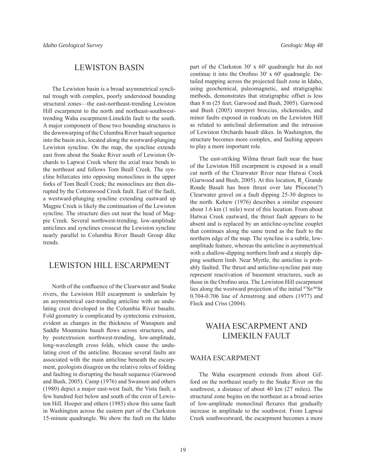### LEWISTON BASIN

The Lewiston basin is a broad asymmetrical synclinal trough with complex, poorly understood bounding structural zones—the east-northeast-trending Lewiston Hill escarpment to the north and northeast-southwesttrending Waha escarpment-Limekiln fault to the south. A major component of these two bounding structures is the downwarping of the Columbia River basalt sequence into the basin axis, located along the westward-plunging Lewiston syncline. On the map, the syncline extends east from about the Snake River south of Lewiston Orchards to Lapwai Creek where the axial trace bends to the northeast and follows Tom Beall Creek. The syncline bifurcates into opposing monoclines in the upper forks of Tom Beall Creek; the monoclines are then disrupted by the Cottonwood Creek fault. East of the fault, a westward-plunging syncline extending eastward up Magpie Creek is likely the continuation of the Lewiston syncline. The structure dies out near the head of Magpie Creek. Several northwest-trending, low-amplitude anticlines and synclines crosscut the Lewiston syncline nearly parallel to Columbia River Basalt Group dike trends.

#### LEWISTON HILL ESCARPMENT

North of the confluence of the Clearwater and Snake rivers, the Lewiston Hill escarpment is underlain by an asymmetrical east-trending anticline with an undulating crest developed in the Columbia River basalts. Fold geometry is complicated by syntectonic extrusion, evident as changes in the thickness of Wanapum and Saddle Mountains basalt flows across structures, and by postextrusion northwest-trending, low-amplitude, long-wavelength cross folds, which cause the undulating crest of the anticline. Because several faults are associated with the main anticline beneath the escarpment, geologists disagree on the relative roles of folding and faulting in disrupting the basalt sequence (Garwood and Bush, 2005). Camp (1976) and Swanson and others (1980) depict a major east-west fault, the Vista fault, a few hundred feet below and south of the crest of Lewiston Hill. Hooper and others (1985) show this same fault in Washington across the eastern part of the Clarkston 15-minute quadrangle. We show the fault on the Idaho part of the Clarkston 30' x 60' quadrangle but do not continue it into the Orofino  $30'$  x  $60'$  quadrangle. Detailed mapping across the projected fault zone in Idaho, using geochemical, paleomagnetic, and stratigraphic methods, demonstrates that stratigraphic offset is less than 8 m (25 feet; Garwood and Bush, 2005). Garwood and Bush (2005) interpret breccias, slickensides, and minor faults exposed in roadcuts on the Lewiston Hill as related to anticlinal deformation and the intrusion of Lewiston Orchards basalt dikes. In Washington, the structure becomes more complex, and faulting appears to play a more important role.

The east-striking Wilma thrust fault near the base of the Lewiston Hill escarpment is exposed in a small cut north of the Clearwater River near Hatwai Creek (Garwood and Bush, 2005). At this location,  $R_2$  Grande Ronde Basalt has been thrust over late Pliocene(?) Clearwater gravel on a fault dipping 25-30 degrees to the north. Kehew (1976) describes a similar exposure about 1.6 km (1 mile) west of this location. From about Hatwai Creek eastward, the thrust fault appears to be absent and is replaced by an anticline-syncline couplet that continues along the same trend as the fault to the northern edge of the map. The syncline is a subtle, lowamplitude feature, whereas the anticline is asymmetrical with a shallow-dipping northern limb and a steeply dipping southern limb. Near Myrtle, the anticline is probably faulted. The thrust and anticline-syncline pair may represent reactivation of basement structures, such as those in the Orofino area. The Lewiston Hill escarpment lies along the westward projection of the initial 87Sr/86Sr 0.704-0.706 line of Armstrong and others (1977) and Fleck and Criss (2004).

## WAHA ESCARPMENT AND LIMEKILN FAULT

#### WAHA ESCARPMENT

The Waha escarpment extends from about Gifford on the northeast nearly to the Snake River on the southwest, a distance of about 40 km (27 miles). The structural zone begins on the northeast as a broad series of low-amplitude monoclinal flexures that gradually increase in amplitude to the southwest. From Lapwai Creek southwestward, the escarpment becomes a more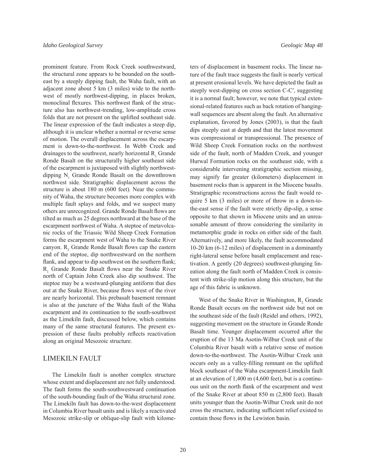prominent feature. From Rock Creek southwestward, the structural zone appears to be bounded on the southeast by a steeply dipping fault, the Waha fault, with an adjacent zone about 5 km (3 miles) wide to the northwest of mostly northwest-dipping, in places broken, monoclinal flexures. This northwest flank of the structure also has northwest-trending, low-amplitude cross folds that are not present on the uplifted southeast side. The linear expression of the fault indicates a steep dip, although it is unclear whether a normal or reverse sense of motion. The overall displacement across the escarpment is down-to-the-northwest. In Webb Creek and drainages to the southwest, nearly horizontal  $R_1$  Grande Ronde Basalt on the structurally higher southeast side of the escarpment is juxtaposed with slightly northwestdipping  $N_1$  Grande Ronde Basalt on the downthrown northwest side. Stratigraphic displacement across the structure is about 180 m (600 feet). Near the community of Waha, the structure becomes more complex with multiple fault splays and folds, and we suspect many others are unrecognized. Grande Ronde Basalt flows are tilted as much as 25 degrees northward at the base of the escarpment northwest of Waha. A steptoe of metavolcanic rocks of the Triassic Wild Sheep Creek Formation forms the escarpment west of Waha to the Snake River canyon.  $R_2$  Grande Ronde Basalt flows cap the eastern end of the steptoe, dip northwestward on the northern flank, and appear to dip southwest on the southern flank;  $R_1$  Grande Ronde Basalt flows near the Snake River north of Captain John Creek also dip southwest. The steptoe may be a westward-plunging antiform that dies out at the Snake River, because flows west of the river are nearly horizontal. This prebasalt basement remnant is also at the juncture of the Waha fault of the Waha escarpment and its continuation to the south-southwest as the Limekiln fault, discussed below, which contains many of the same structural features. The present expression of these faults probably reflects reactivation along an original Mesozoic structure.

#### LIMEKILN FAULT

The Limekiln fault is another complex structure whose extent and displacement are not fully understood. The fault forms the south-southwestward continuation of the south-bounding fault of the Waha structural zone. The Limekiln fault has down-to-the-west displacement in Columbia River basalt units and is likely a reactivated Mesozoic strike-slip or oblique-slip fault with kilometers of displacement in basement rocks. The linear nature of the fault trace suggests the fault is nearly vertical at present erosional levels. We have depicted the fault as steeply west-dipping on cross section C-C′, suggesting it is a normal fault; however, we note that typical extensional-related features such as back rotation of hangingwall sequences are absent along the fault. An alternative explanation, favored by Jones (2003), is that the fault dips steeply east at depth and that the latest movement was compressional or transpressional. The presence of Wild Sheep Creek Formation rocks on the northwest side of the fault, north of Madden Creek, and younger Hurwal Formation rocks on the southeast side, with a considerable intervening stratigraphic section missing, may signify far greater (kilometers) displacement in basement rocks than is apparent in the Miocene basalts. Stratigraphic reconstructions across the fault would require 5 km (3 miles) or more of throw in a down-tothe-east sense if the fault were strictly dip-slip, a sense opposite to that shown in Miocene units and an unreasonable amount of throw considering the similarity in metamorphic grade in rocks on either side of the fault. Alternatively, and more likely, the fault accommodated 10-20 km (6-12 miles) of displacement in a dominantly right-lateral sense before basalt emplacement and reactivation. A gently (20 degrees) southwest-plunging lineation along the fault north of Madden Creek is consistent with strike-slip motion along this structure, but the age of this fabric is unknown.

West of the Snake River in Washington,  $R_2$  Grande Ronde Basalt occurs on the northwest side but not on the southeast side of the fault (Reidel and others, 1992), suggesting movement on the structure in Grande Ronde Basalt time. Younger displacement occurred after the eruption of the 13 Ma Asotin-Wilbur Creek unit of the Columbia River basalt with a relative sense of motion down-to-the-northwest. The Asotin-Wilbur Creek unit occurs only as a valley-filling remnant on the uplifted block southeast of the Waha escarpment-Limekiln fault at an elevation of 1,400 m (4,600 feet), but is a continuous unit on the north flank of the escarpment and west of the Snake River at about 850 m (2,800 feet). Basalt units younger than the Asotin-Wilbur Creek unit do not cross the structure, indicating sufficient relief existed to contain those flows in the Lewiston basin.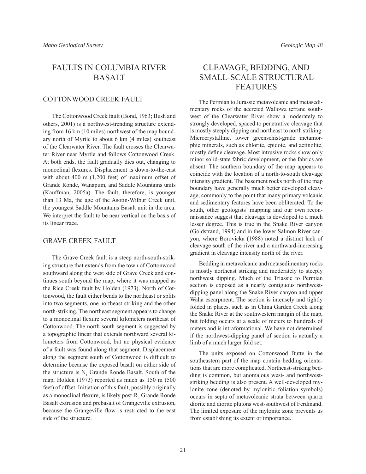## FAULTS IN COLUMBIA RIVER **BASALT**

#### COTTONWOOD CREEK FAULT

The Cottonwood Creek fault (Bond, 1963; Bush and others, 2001) is a northwest-trending structure extending from 16 km (10 miles) northwest of the map boundary north of Myrtle to about 6 km (4 miles) southeast of the Clearwater River. The fault crosses the Clearwater River near Myrtle and follows Cottonwood Creek. At both ends, the fault gradually dies out, changing to monoclinal flexures. Displacement is down-to-the-east with about 400 m (1,200 feet) of maximum offset of Grande Ronde, Wanapum, and Saddle Mountains units (Kauffman, 2005a). The fault, therefore, is younger than 13 Ma, the age of the Asotin-Wilbur Creek unit, the youngest Saddle Mountains Basalt unit in the area. We interpret the fault to be near vertical on the basis of its linear trace.

#### GRAVE CREEK FAULT

The Grave Creek fault is a steep north-south-striking structure that extends from the town of Cottonwood southward along the west side of Grave Creek and continues south beyond the map, where it was mapped as the Rice Creek fault by Holden (1973). North of Cottonwood, the fault either bends to the northeast or splits into two segments, one northeast-striking and the other north-striking. The northeast segment appears to change to a monoclinal flexure several kilometers northeast of Cottonwood. The north-south segment is suggested by a topographic linear that extends northward several kilometers from Cottonwood, but no physical evidence of a fault was found along that segment. Displacement along the segment south of Cottonwood is difficult to determine because the exposed basalt on either side of the structure is  $N_1$  Grande Ronde Basalt. South of the map, Holden (1973) reported as much as 150 m (500 feet) of offset. Initiation of this fault, possibly originally as a monoclinal flexure, is likely post- $R_2$  Grande Ronde Basalt extrusion and prebasalt of Grangeville extrusion, because the Grangeville flow is restricted to the east side of the structure.

## CLEAVAGE, BEDDING, AND SMALL-SCALE STRUCTURAL FEATURES

The Permian to Jurassic metavolcanic and metasedimentary rocks of the accreted Wallowa terrane southwest of the Clearwater River show a moderately to strongly developed, spaced to penetrative cleavage that is mostly steeply dipping and northeast to north striking. Microcrystalline, lower greenschist-grade metamorphic minerals, such as chlorite, epidote, and actinolite, mostly define cleavage. Most intrusive rocks show only minor solid-state fabric development, or the fabrics are absent. The southern boundary of the map appears to coincide with the location of a north-to-south cleavage intensity gradient. The basement rocks north of the map boundary have generally much better developed cleavage, commonly to the point that many primary volcanic and sedimentary features have been obliterated. To the south, other geologists' mapping and our own reconnaissance suggest that cleavage is developed to a much lesser degree. This is true in the Snake River canyon (Goldstrand, 1994) and in the lower Salmon River canyon, where Borovicka (1988) noted a distinct lack of cleavage south of the river and a northward-increasing gradient in cleavage intensity north of the river.

Bedding in metavolcanic and metasedimentary rocks is mostly northeast striking and moderately to steeply northwest dipping. Much of the Triassic to Permian section is exposed as a nearly contiguous northwestdipping panel along the Snake River canyon and upper Waha escarpment. The section is intensely and tightly folded in places, such as in China Garden Creek along the Snake River at the southwestern margin of the map, but folding occurs at a scale of meters to hundreds of meters and is intraformational. We have not determined if the northwest-dipping panel of section is actually a limb of a much larger fold set.

The units exposed on Cottonwood Butte in the southeastern part of the map contain bedding orientations that are more complicated. Northeast-striking bedding is common, but anomalous west- and northweststriking bedding is also present. A well-developed mylonite zone (denoted by mylonitic foliation symbols) occurs in septa of metavolcanic strata between quartz diorite and diorite plutons west-southwest of Ferdinand. The limited exposure of the mylonite zone prevents us from establishing its extent or importance.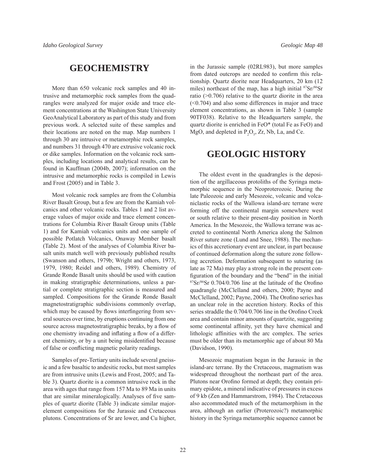## **GEOCHEMISTRY**

More than 650 volcanic rock samples and 40 intrusive and metamorphic rock samples from the quadrangles were analyzed for major oxide and trace element concentrations at the Washington State University GeoAnalytical Laboratory as part of this study and from previous work. A selected suite of these samples and their locations are noted on the map. Map numbers 1 through 30 are intrusive or metamorphic rock samples, and numbers 31 through 470 are extrusive volcanic rock or dike samples. Information on the volcanic rock samples, including locations and analytical results, can be found in Kauffman (2004b, 2007); information on the intrusive and metamorphic rocks is compiled in Lewis and Frost (2005) and in Table 3.

Most volcanic rock samples are from the Columbia River Basalt Group, but a few are from the Kamiah volcanics and other volcanic rocks. Tables 1 and 2 list average values of major oxide and trace element concentrations for Columbia River Basalt Group units (Table 1) and for Kamiah volcanics units and one sample of possible Potlatch Volcanics, Onaway Member basalt (Table 2). Most of the analyses of Columbia River basalt units match well with previously published results (Swanson and others, 1979b; Wright and others, 1973, 1979, 1980; Reidel and others, 1989). Chemistry of Grande Ronde Basalt units should be used with caution in making stratigraphic determinations, unless a partial or complete stratigraphic section is measured and sampled. Compositions for the Grande Ronde Basalt magnetostratigraphic subdivisions commonly overlap, which may be caused by flows interfingering from several sources over time, by eruptions continuing from one source across magnetostratigraphic breaks, by a flow of one chemistry invading and inflating a flow of a different chemistry, or by a unit being misidentified because of false or conflicting magnetic polarity readings.

Samples of pre-Tertiary units include several gneissic and a few basaltic to andesitic rocks, but most samples are from intrusive units (Lewis and Frost, 2005; and Table 3). Quartz diorite is a common intrusive rock in the area with ages that range from 157 Ma to 89 Ma in units that are similar mineralogically. Analyses of five samples of quartz diorite (Table 3) indicate similar majorelement compositions for the Jurassic and Cretaceous plutons. Concentrations of Sr are lower, and Cu higher,

in the Jurassic sample (02RL983), but more samples from dated outcrops are needed to confirm this relationship. Quartz diorite near Headquarters, 20 km (12 miles) northeast of the map, has a high initial  $87\text{Sr}/86\text{Sr}$ ratio (>0.706) relative to the quartz diorite in the area (<0.704) and also some differences in major and trace element concentrations, as shown in Table 3 (sample 90TF038). Relative to the Headquarters sample, the quartz diorite is enriched in FeO\* (total Fe as FeO) and MgO, and depleted in  $P_2O_5$ , Zr, Nb, La, and Ce.

## **GEOLOGIC HISTORY**

The oldest event in the quadrangles is the deposition of the argillaceous protoliths of the Syringa metamorphic sequence in the Neoproterozoic. During the late Paleozoic and early Mesozoic, volcanic and volcaniclastic rocks of the Wallowa island-arc terrane were forming off the continental margin somewhere west or south relative to their present-day position in North America. In the Mesozoic, the Wallowa terrane was accreted to continental North America along the Salmon River suture zone (Lund and Snee, 1988). The mechanics of this accretionary event are unclear, in part because of continued deformation along the suture zone following accretion. Deformation subsequent to suturing (as late as 72 Ma) may play a strong role in the present configuration of the boundary and the "bend" in the initial  $87Sr/86Sr$  0.704/0.706 line at the latitude of the Orofino quadrangle (McClelland and others, 2000; Payne and McClelland, 2002; Payne, 2004). The Orofino series has an unclear role in the accretion history. Rocks of this series straddle the 0.704/0.706 line in the Orofino Creek area and contain minor amounts of quartzite, suggesting some continental affinity, yet they have chemical and lithologic affinities with the arc complex. The series must be older than its metamorphic age of about 80 Ma (Davidson, 1990).

Mesozoic magmatism began in the Jurassic in the island-arc terrane. By the Cretaceous, magmatism was widespread throughout the northeast part of the area. Plutons near Orofino formed at depth; they contain primary epidote, a mineral indicative of pressures in excess of 9 kb (Zen and Hammarstrom, 1984). The Cretaceous also accommodated much of the metamorphism in the area, although an earlier (Proterozoic?) metamorphic history in the Syringa metamorphic sequence cannot be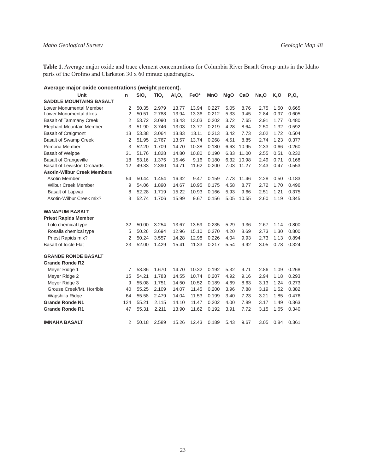**Table 1.** Average major oxide and trace element concentrations for Columbia River Basalt Group units in the Idaho parts of the Orofino and Clarkston  $30 \times 60$  minute quadrangles.

| Average major oxide concentrations (weight percent). |  |  |
|------------------------------------------------------|--|--|
|------------------------------------------------------|--|--|

| Unit                               | n              | SiO <sub>2</sub> | TiO <sub>2</sub> | AI <sub>2</sub> O <sub>3</sub> | FeO*  | MnO   | <b>MgO</b> | CaO   | Na <sub>2</sub> O | K,O  | $P_2O_5$ |
|------------------------------------|----------------|------------------|------------------|--------------------------------|-------|-------|------------|-------|-------------------|------|----------|
| <b>SADDLE MOUNTAINS BASALT</b>     |                |                  |                  |                                |       |       |            |       |                   |      |          |
| Lower Monumental Member            | 2              | 50.35            | 2.979            | 13.77                          | 13.94 | 0.227 | 5.05       | 8.76  | 2.75              | 1.50 | 0.665    |
| Lower Monumental dikes             | $\overline{2}$ | 50.51            | 2.788            | 13.94                          | 13.36 | 0.212 | 5.33       | 9.45  | 2.84              | 0.97 | 0.605    |
| <b>Basalt of Tammany Creek</b>     | 2              | 53.72            | 3.090            | 13.43                          | 13.03 | 0.202 | 3.72       | 7.65  | 2.91              | 1.77 | 0.480    |
| Elephant Mountain Member           | 3              | 51.90            | 3.746            | 13.03                          | 13.77 | 0.219 | 4.28       | 8.64  | 2.50              | 1.32 | 0.592    |
| <b>Basalt of Craigmont</b>         | 13             | 53.38            | 3.064            | 13.83                          | 13.11 | 0.213 | 3.42       | 7.73  | 3.02              | 1.72 | 0.504    |
| <b>Basalt of Swamp Creek</b>       | 2              | 51.95            | 2.767            | 13.57                          | 13.74 | 0.268 | 4.51       | 8.85  | 2.74              | 1.23 | 0.377    |
| Pomona Member                      | 3              | 52.20            | 1.709            | 14.70                          | 10.38 | 0.180 | 6.63       | 10.95 | 2.33              | 0.66 | 0.260    |
| <b>Basalt of Weippe</b>            | 31             | 51.76            | 1.828            | 14.80                          | 10.80 | 0.190 | 6.33       | 11.00 | 2.55              | 0.51 | 0.232    |
| <b>Basalt of Grangeville</b>       | 18             | 53.16            | 1.375            | 15.46                          | 9.16  | 0.180 | 6.32       | 10.98 | 2.49              | 0.71 | 0.168    |
| <b>Basalt of Lewiston Orchards</b> | 12             | 49.33            | 2.390            | 14.71                          | 11.62 | 0.200 | 7.03       | 11.27 | 2.43              | 0.47 | 0.553    |
| <b>Asotin-Wilbur Creek Members</b> |                |                  |                  |                                |       |       |            |       |                   |      |          |
| Asotin Member                      | 54             | 50.44            | 1.454            | 16.32                          | 9.47  | 0.159 | 7.73       | 11.46 | 2.28              | 0.50 | 0.183    |
| <b>Wilbur Creek Member</b>         | 9              | 54.06            | 1.890            | 14.67                          | 10.95 | 0.175 | 4.58       | 8.77  | 2.72              | 1.70 | 0.496    |
| <b>Basalt of Lapwai</b>            | 8              | 52.28            | 1.719            | 15.22                          | 10.93 | 0.166 | 5.93       | 9.66  | 2.51              | 1.21 | 0.375    |
| Asotin-Wilbur Creek mix?           | 3              | 52.74            | 1.706            | 15.99                          | 9.67  | 0.156 | 5.05       | 10.55 | 2.60              | 1.19 | 0.345    |
|                                    |                |                  |                  |                                |       |       |            |       |                   |      |          |
| <b>WANAPUM BASALT</b>              |                |                  |                  |                                |       |       |            |       |                   |      |          |
| <b>Priest Rapids Member</b>        |                |                  |                  |                                |       |       |            |       |                   |      |          |
| Lolo chemical type                 | 32             | 50.00            | 3.254            | 13.67                          | 13.59 | 0.235 | 5.29       | 9.36  | 2.67              | 1.14 | 0.800    |
| Rosalia chemical type              | 5              | 50.26            | 3.694            | 12.96                          | 15.10 | 0.270 | 4.20       | 8.69  | 2.73              | 1.30 | 0.800    |
| Priest Rapids mix?                 | 2              | 50.24            | 3.557            | 14.28                          | 12.98 | 0.226 | 4.04       | 9.93  | 2.73              | 1.13 | 0.894    |
| <b>Basalt of Icicle Flat</b>       | 23             | 52.00            | 1.429            | 15.41                          | 11.33 | 0.217 | 5.54       | 9.92  | 3.05              | 0.78 | 0.324    |
| <b>GRANDE RONDE BASALT</b>         |                |                  |                  |                                |       |       |            |       |                   |      |          |
| <b>Grande Ronde R2</b>             |                |                  |                  |                                |       |       |            |       |                   |      |          |
| Meyer Ridge 1                      | 7              | 53.86            | 1.670            | 14.70                          | 10.32 | 0.192 | 5.32       | 9.71  | 2.86              | 1.09 | 0.268    |
| Meyer Ridge 2                      | 15             | 54.21            | 1.783            | 14.55                          | 10.74 | 0.207 | 4.92       | 9.16  | 2.94              | 1.18 | 0.293    |
| Meyer Ridge 3                      | 9              | 55.08            | 1.751            | 14.50                          | 10.52 | 0.189 | 4.69       | 8.63  | 3.13              | 1.24 | 0.273    |
| Grouse Creek/Mt. Horrible          | 40             | 55.25            | 2.109            | 14.07                          | 11.45 | 0.200 | 3.96       | 7.88  | 3.19              | 1.52 | 0.382    |
| Wapshilla Ridge                    | 64             | 55.58            | 2.479            | 14.04                          | 11.53 | 0.199 | 3.40       | 7.23  | 3.21              | 1.85 | 0.476    |
| <b>Grande Ronde N1</b>             | 124            | 55.21            | 2.115            | 14.10                          | 11.47 | 0.202 | 4.00       | 7.89  | 3.17              | 1.49 | 0.363    |
| <b>Grande Ronde R1</b>             | 47             | 55.31            | 2.211            | 13.90                          | 11.62 | 0.192 | 3.91       | 7.72  | 3.15              | 1.65 | 0.340    |
|                                    |                |                  |                  |                                |       |       |            |       |                   |      |          |
| <b>IMNAHA BASALT</b>               | 2              | 50.18            | 2.589            | 15.26                          | 12.43 | 0.189 | 5.43       | 9.67  | 3.05              | 0.84 | 0.361    |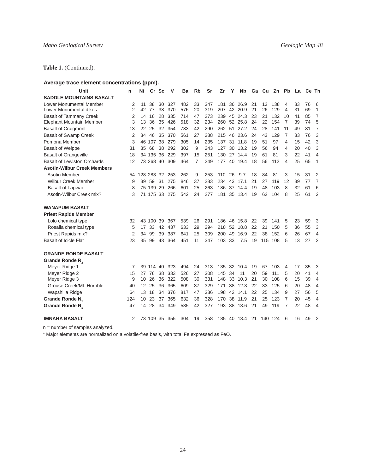### **Table 1.** (Continued).

#### **Average trace element concentrations (ppm).**

| Unit                               | n              | Ni            | Cr        | <b>Sc</b> | v   | Ba  | <b>Rb</b> | Sr  | Zr  | Υ  | <b>N<sub>b</sub></b> | Ga | Cu  | Zn      | Pb             | La | Ce Th |                |
|------------------------------------|----------------|---------------|-----------|-----------|-----|-----|-----------|-----|-----|----|----------------------|----|-----|---------|----------------|----|-------|----------------|
| <b>SADDLE MOUNTAINS BASALT</b>     |                |               |           |           |     |     |           |     |     |    |                      |    |     |         |                |    |       |                |
| Lower Monumental Member            | 2              | 11            | 38        | 30        | 327 | 482 | 33        | 347 | 181 | 36 | 26.9                 | 21 | 13  | 138     | 4              | 33 | 76    | 6              |
| Lower Monumental dikes             | $\overline{2}$ | 42            | 77        | 38        | 370 | 576 | 20        | 319 | 207 | 42 | 20.9                 | 21 | 26  | 129     | 4              | 31 | 69    | 1              |
| <b>Basalt of Tammany Creek</b>     | 2              | 14            | 16        | 28        | 335 | 714 | 47        | 273 | 239 | 45 | 24.3                 | 23 | 21  | 132     | 10             | 41 | 85    | $\overline{7}$ |
| Elephant Mountain Member           | 3              | 13            | 36        | 35        | 426 | 518 | 32        | 234 | 260 | 52 | 25.8                 | 24 | 22  | 154     | 7              | 39 | 74    | 5              |
| <b>Basalt of Craigmont</b>         | 13             | 22            | 25        | 32        | 354 | 783 | 42        | 290 | 262 | 51 | 27.2                 | 24 | 28  | 141     | 11             | 49 | 81    | $\overline{7}$ |
| <b>Basalt of Swamp Creek</b>       | 2              | 34            | 46        | 35        | 370 | 561 | 27        | 288 | 215 | 46 | 23.6                 | 24 | 43  | 129     | $\overline{7}$ | 33 | 76    | 3              |
| Pomona Member                      | 3              |               | 46 107    | 38        | 279 | 305 | 14        | 235 | 137 | 31 | 11.8                 | 19 | 51  | 97      | 4              | 15 | 42    | 3              |
| <b>Basalt of Weippe</b>            | 31             | 35            | 68        | 38        | 292 | 302 | 9         | 243 | 127 | 30 | 13.2                 | 19 | 56  | 94      | 4              | 20 | 40    | 3              |
| <b>Basalt of Grangeville</b>       | 18             |               | 34 135    | 36        | 229 | 397 | 15        | 251 | 130 | 27 | 14.4                 | 19 | 61  | 81      | 3              | 22 | 41    | 4              |
| <b>Basalt of Lewiston Orchards</b> | 12             |               | 73 268 40 |           | 309 | 464 | 7         | 249 | 177 | 40 | 19.4                 | 18 | 56  | 112     | 4              | 25 | 65    | 1              |
| <b>Asotin-Wilbur Creek Members</b> |                |               |           |           |     |     |           |     |     |    |                      |    |     |         |                |    |       |                |
| Asotin Member                      |                | 54 128 283 32 |           |           | 253 | 262 | 9         | 253 | 110 | 26 | 9.7                  | 18 | 84  | 81      | 3              | 15 | 31    | 2              |
| <b>Wilbur Creek Member</b>         | 9              | 39            | 59        | 31        | 275 | 846 | 37        | 283 | 234 | 43 | 17.1                 | 21 | 27  | 119     | 12             | 39 | 77    | $\overline{7}$ |
| <b>Basalt of Lapwai</b>            | 8              | 75            | 139       | 29        | 266 | 601 | 25        | 263 | 186 | 37 | 14.4                 | 19 | 48  | 103     | 8              | 32 | 61    | 6              |
| Asotin-Wilbur Creek mix?           | 3              | 71            | 175       | 33        | 275 | 542 | 24        | 277 | 181 | 35 | 13.4                 | 19 | 62  | 104     | 8              | 25 | 61    | $\overline{2}$ |
| <b>WANAPUM BASALT</b>              |                |               |           |           |     |     |           |     |     |    |                      |    |     |         |                |    |       |                |
| <b>Priest Rapids Member</b>        |                |               |           |           |     |     |           |     |     |    |                      |    |     |         |                |    |       |                |
| Lolo chemical type                 | 32             | 43            | 100       | 39        | 367 | 539 | 26        | 291 | 186 | 46 | 15.8                 | 22 | 39  | 141     | 5              | 23 | 59    | 3              |
| Rosalia chemical type              | 5              | 17            | 33        | 42        | 437 | 633 | 29        | 294 | 218 | 52 | 18.8                 | 22 | 21  | 150     | 5              | 36 | 55    | 3              |
| Priest Rapids mix?                 | 2              | 34            | 99        | 39        | 387 | 641 | 25        | 309 | 200 | 49 | 16.9                 | 22 | 38  | 152     | 6              | 26 | 67    | $\overline{4}$ |
| <b>Basalt of Icicle Flat</b>       | 23             | 35            | 99        | 43        | 364 | 451 | 11        | 347 | 103 | 33 | 7.5                  | 19 | 115 | 108     | 5              | 13 | 27    | 2              |
| <b>GRANDE RONDE BASALT</b>         |                |               |           |           |     |     |           |     |     |    |                      |    |     |         |                |    |       |                |
| Grande Ronde R <sub>2</sub>        |                |               |           |           |     |     |           |     |     |    |                      |    |     |         |                |    |       |                |
| Meyer Ridge 1                      | 7              | 39            | 114       | 40        | 323 | 494 | 24        | 313 | 135 | 32 | 10.4                 | 19 | 67  | 103     | 4              | 17 | 35    | 3              |
| Meyer Ridge 2                      | 15             | 27            | 76        | 38        | 333 | 526 | 27        | 308 | 145 | 34 | 11                   | 20 | 59  | 111     | 5              | 20 | 41    | 4              |
| Meyer Ridge 3                      | 9              | 10            | 26        | 36        | 322 | 508 | 30        | 331 | 148 | 33 | 10.3                 | 21 | 30  | 108     | 6              | 15 | 39    | 4              |
| Grouse Creek/Mt. Horrible          | 40             | 12            | 25        | 36        | 365 | 609 | 37        | 329 | 171 | 38 | 12.3                 | 22 | 33  | 125     | 6              | 20 | 48    | 4              |
| Wapshilla Ridge                    | 64             | 13            | 18        | 34        | 376 | 817 | 47        | 336 | 198 | 42 | 14.1                 | 22 | 25  | 134     | 9              | 27 | 56    | 5              |
| Grande Ronde N <sub>1</sub>        | 124            | 10            | 23        | 37        | 365 | 632 | 36        | 328 | 170 | 38 | 11.9                 | 21 | 25  | 123     | 7              | 20 | 45    | 4              |
| Grande Ronde R.                    | 47             | 14            | 28        | 34        | 349 | 585 | 42        | 327 | 193 | 38 | 13.6                 | 21 | 49  | 119     | 7              | 22 | 48    | $\overline{4}$ |
| <b>IMNAHA BASALT</b>               | 2              |               | 73 109 35 |           | 355 | 304 | 19        | 358 | 185 |    | 40 13.4              | 21 |     | 140 124 | 6              | 16 | 49    | $\overline{2}$ |

n = number of samples analyzed.

\* Major elements are normalized on a volatile-free basis, with total Fe expressed as FeO.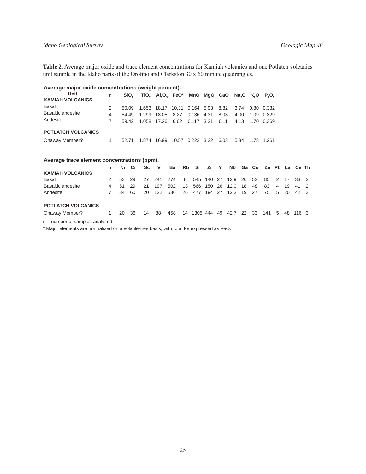#### *Idaho Geological Survey Geologic Map 48*

**Table 2.** Average major oxide and trace element concentrations for Kamiah volcanics and one Potlatch volcanics unit sample in the Idaho parts of the Orofino and Clarkston  $30 \times 60$  minute quadrangles.

| Average major oxide concentrations (weight percent). |   |       |                                        |                                                   |      |                    |  |      |      |  |                 |  |  |
|------------------------------------------------------|---|-------|----------------------------------------|---------------------------------------------------|------|--------------------|--|------|------|--|-----------------|--|--|
| Unit<br><b>KAMIAH VOLCANICS</b>                      | n | SiO.  |                                        | TiO, Al,O, FeO* MnO MgO CaO Na,O K,O P,O,         |      |                    |  |      |      |  |                 |  |  |
| <b>Basalt</b>                                        | 2 | 50.09 |                                        | 1.653 18.17 10.31 0.164 5.93 8.82 3.74 0.80 0.332 |      |                    |  |      |      |  |                 |  |  |
| Basaltic andesite                                    | 4 | 54.49 | 1.299                                  | 18.05                                             | 8.27 | 0.136 4.31         |  | 8.03 | 4.00 |  | 1.09 0.329      |  |  |
| Andesite                                             |   |       | 59.42 1.058 17.26 6.62 0.117 3.21 6.11 |                                                   |      |                    |  |      |      |  | 4.13 1.70 0.369 |  |  |
| <b>POTLATCH VOLCANICS</b>                            |   |       |                                        |                                                   |      |                    |  |      |      |  |                 |  |  |
| Onaway Member?                                       | 1 | 52.71 | 1.874                                  | 16.99                                             |      | 10.57  0.222  3.22 |  | 6.03 | 5.34 |  |                 |  |  |

| Average trace element concentrations (ppm).           |   |    |     |     |              |     |                |             |            |    |                    |      |      |                         |                |     |              |     |
|-------------------------------------------------------|---|----|-----|-----|--------------|-----|----------------|-------------|------------|----|--------------------|------|------|-------------------------|----------------|-----|--------------|-----|
|                                                       | n | Ni | Cr. | Sc. | $\mathsf{v}$ | Ba  |                | Rb Sr Zr    |            | Y  |                    |      |      | Nb Ga Cu Zn Pb La Ce Th |                |     |              |     |
| <b>KAMIAH VOLCANICS</b>                               |   |    |     |     |              |     |                |             |            |    |                    |      |      |                         |                |     |              |     |
| Basalt                                                | 2 | 53 | 29  | 27  | -241         | 274 | 8 <sup>1</sup> |             |            |    | 545 140 27 12.9 20 |      | - 52 | 85                      | $\overline{2}$ | -17 | $33 \quad 2$ |     |
| Basaltic andesite                                     | 4 | 51 | 29  | 21  | 197          | 502 | 13             |             | 566 150 26 |    | 12.0               | -18  | 48   | 83                      | 4              | 19  | 41           | - 2 |
| Andesite                                              |   | 34 | 60  | 20  | 122          | 536 | 26             | 477         | 194        | 27 | 12.3               | 19   | 27   | 75                      | 5              | 20  | 42 3         |     |
| <b>POTLATCH VOLCANICS</b>                             |   |    |     |     |              |     |                |             |            |    |                    |      |      |                         |                |     |              |     |
| Onaway Member?                                        |   | 20 | 36  | 14  | 88           | 458 | 14             | 1305 444 49 |            |    | 42.7               | - 22 | -33  | 141                     | .5             | 48  | 1163         |     |
| المستنب والشعبين السماء والمتعاشر والمستنفين المتناور |   |    |     |     |              |     |                |             |            |    |                    |      |      |                         |                |     |              |     |

n = number of samples analyzed.

\* Major elements are normalized on a volatile-free basis, with total Fe expressed as FeO.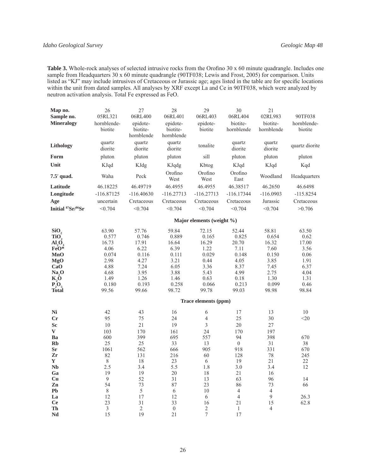Table 3. Whole-rock analyses of selected intrusive rocks from the Orofino 30 x 60 minute quadrangle. Includes one sample from Headquarters 30 x 60 minute quadrangle (90TF038; Lewis and Frost, 2005) for comparison. Units listed as "KJ" may include intrusives of Cretaceous or Jurassic age; ages listed in the table are for specific locations within the unit from dated samples. All analyses by XRF except La and Ce in 90TF038, which were analyzed by neutron activation analysis. Total Fe expressed as FeO.

| Map no.                      | 26             | 27             | 28               | 29                            | 30               | 21             |                |
|------------------------------|----------------|----------------|------------------|-------------------------------|------------------|----------------|----------------|
| Sample no.                   | 05RL321        | 06RL400        | 06RL401          | 06RL403                       | 06RL404          | 02RL983        | 90TF038        |
| <b>Mineralogy</b>            | hornblende-    | epidote-       | epidote-         | epidote-                      | biotite-         | biotite-       | hornblende-    |
|                              | biotite        | biotite-       | biotite-         | biotite                       | hornblende       | hornblende     | biotite        |
|                              |                | hornblende     | hornblende       |                               |                  |                |                |
| Lithology                    | quartz         | quartz         | quartz           | tonalite                      | quartz           | quartz         | quartz diorite |
|                              | diorite        | diorite        | diorite          |                               | diorite          | diorite        |                |
| Form                         | pluton         | pluton         | pluton           | sill                          | pluton           | pluton         | pluton         |
| Unit                         | KJqd           | KJdg           | KJqdg            | Kbtog                         | KJqd             | KJqd           | Kqd            |
| 7.5' quad.                   | Waha           | Peck           | Orofino          | Orofino                       | Orofino          | Woodland       | Headquarters   |
|                              |                |                | West             | West                          | East             |                |                |
| Latitude                     | 46.18225       | 46.49719       | 46.4955          | 46.4955                       | 46.38517         | 46.2650        | 46.6498        |
| Longitude                    | $-116.87125$   | $-116.40630$   | $-116.27713$     | $-116.27713$                  | $-116.17344$     | $-116.0903$    | $-115.8254$    |
| Age                          | uncertain      | Cretaceous     | Cretaceous       | Cretaceous                    | Cretaceous       | Jurassic       | Cretaceous     |
| Initial 87Sr/86Sr            | < 0.704        | < 0.704        | < 0.704          | < 0.704                       | < 0.704          | < 0.704        | >0.706         |
|                              |                |                |                  | Major elements (weight $\%$ ) |                  |                |                |
| SiO <sub>2</sub>             | 63.90          | 57.76          | 59.84            | 72.15                         | 52.44            | 58.81          | 63.50          |
| TiO,                         | 0.577          | 0.746          | 0.889            | 0.165                         | 0.825            | 0.654          | 0.62           |
| Al,O,                        | 16.73          | 17.91          | 16.64            | 16.29                         | 20.70            | 16.32          | 17.00          |
| FeO*                         | 4.06           | 6.22           | 6.39             | 1.22                          | 7.11             | 7.60           | 3.56           |
| <b>MnO</b>                   | 0.074          | 0.116          | 0.111            | 0.029                         | 0.148            | 0.150          | 0.06           |
| <b>MgO</b>                   | 2.98           | 4.27           | 3.21             | 0.44                          | 4.05             | 3.85           | 1.91           |
| CaO                          | 4.88           | 7.24           | 6.05             | 3.36                          | 8.37             | 7.45           | 6.37           |
| Na, O                        | 4.68           | 3.95           | 3.88             | 5.43                          | 4.99             | 2.75           | 4.04           |
| K,Õ                          | 1.49           | 1.26           | 1.46             | 0.63                          | 0.18             | 1.30           | 1.31           |
| $\overline{P_2O_5}$<br>Total | 0.180<br>99.56 | 0.193<br>99.66 | 0.258<br>98.72   | 0.066<br>99.78                | 0.213<br>99.03   | 0.099<br>98.98 | 0.46<br>98.84  |
|                              |                |                |                  | Trace elements (ppm)          |                  |                |                |
|                              |                |                |                  |                               |                  |                |                |
| Ni                           | 42             | 43             | 16               | 6                             | 17               | 13             | 10             |
| Cr                           | 95             | 75             | 24               | 4                             | 25               | 30             | $20$           |
| Sc                           | 10             | 21             | 19               | $\overline{\mathbf{3}}$       | 20               | 27             |                |
| $\bf{V}$                     | 103            | 170            | 161              | 24                            | 170              | 197            |                |
| Ba                           | 600            | 399            | 695              | 557                           | 94               | 398            | 670            |
| <b>Rb</b>                    | 25             | 25             | 33               | 13                            | $\boldsymbol{0}$ | 31             | 38             |
| <b>Sr</b>                    | 1061           | 562            | 666              | 905                           | 918              | 331            | 670            |
| Zr<br>Y                      | 82<br>$\,8\,$  | 131<br>18      | 216<br>23        | 60<br>6                       | 128<br>19        | 78<br>21       | 245<br>22      |
| <b>Nb</b>                    | 2.5            | 3.4            | 5.5              | 1.8                           | 3.0              | 3.4            | 12             |
| Ga                           | 19             | 19             | 20               | 18                            | 21               | 16             |                |
| Cu                           | 9              | 52             | 31               | 13                            | 63               | 96             | 14             |
| Zn                           | 54             | 73             | 87               | 23                            | 86               | 73             | 66             |
| Pb                           | $\,8\,$        | $\sqrt{5}$     | 6                | 10                            | $\overline{4}$   | $\overline{4}$ |                |
| La                           | 12             | 17             | 12               | $\sqrt{6}$                    | $\overline{4}$   | 9              | 26.3           |
| <b>Ce</b>                    | 23             | 31             | 33               | 16                            | 21               | 15             | 62.8           |
| Th                           | $\mathfrak{Z}$ | $\overline{2}$ | $\boldsymbol{0}$ | $\overline{c}$                | $\mathbf{1}$     | $\overline{4}$ |                |
| Nd                           | 15             | 19             | 21               | $\overline{7}$                | 17               |                |                |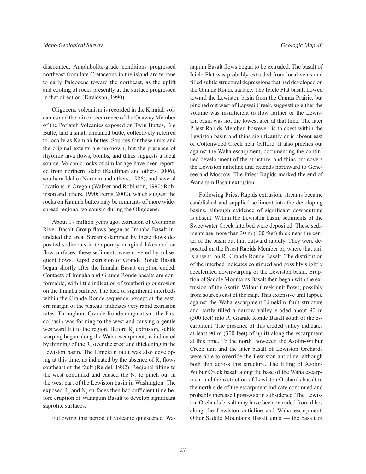discounted. Amphibolite-grade conditions progressed northeast from late Cretaceous in the island-arc terrane to early Paleocene toward the northeast, as the uplift and cooling of rocks presently at the surface progressed in that direction (Davidson, 1990).

Oligocene volcanism is recorded in the Kamiah volcanics and the minor occurrence of the Onaway Member of the Potlatch Volcanics exposed on Twin Buttes, Big Butte, and a small unnamed butte, collectively referred to locally as Kamiah buttes. Sources for these units and the original extents are unknown, but the presence of rhyolitic lava flows, bombs, and dikes suggests a local source. Volcanic rocks of similar age have been reported from northern Idaho (Kauffman and others, 2006), southern Idaho (Norman and others, 1986), and several locations in Oregon (Walker and Robinson, 1990; Robinson and others, 1990; Ferns, 2002), which suggest the rocks on Kamiah buttes may be remnants of more widespread regional volcanism during the Oligocene.

About 17 million years ago, extrusion of Columbia River Basalt Group flows began as Imnaha Basalt inundated the area. Streams dammed by these flows deposited sediments in temporary marginal lakes and on flow surfaces; these sediments were covered by subsequent flows. Rapid extrusion of Grande Ronde Basalt began shortly after the Imnaha Basalt eruption ended. Contacts of Imnaha and Grande Ronde basalts are conformable, with little indication of weathering or erosion on the Imnaha surface. The lack of significant interbeds within the Grande Ronde sequence, except at the eastern margin of the plateau, indicates very rapid extrusion rates. Throughout Grande Ronde magmatism, the Pasco basin was forming to the west and causing a gentle westward tilt to the region. Before  $R_2$  extrusion, subtle warping began along the Waha escarpment, as indicated by thinning of the  $R_2$  over the crest and thickening in the Lewiston basin. The Limekiln fault was also developing at this time, as indicated by the absence of  $R<sub>2</sub>$ , flows southeast of the fault (Reidel, 1982). Regional tilting to the west continued and caused the  $N_2$  to pinch out in the west part of the Lewiston basin in Washington. The exposed  $R_2$  and  $N_1$  surfaces then had sufficient time before eruption of Wanapum Basalt to develop significant saprolite surfaces.

Following this period of volcanic quiescence, Wa-

napum Basalt flows began to be extruded. The basalt of Icicle Flat was probably extruded from local vents and filled subtle structural depressions that had developed on the Grande Ronde surface. The Icicle Flat basalt flowed toward the Lewiston basin from the Camas Prairie, but pinched out west of Lapwai Creek, suggesting either the volume was insufficient to flow farther or the Lewiston basin was not the lowest area at that time. The later Priest Rapids Member, however, is thickest within the Lewiston basin and thins significantly or is absent east of Cottonwood Creek near Gifford. It also pinches out against the Waha escarpment, documenting the continued development of the structure, and thins but covers the Lewiston anticline and extends northward to Genesee and Moscow. The Priest Rapids marked the end of Wanapum Basalt extrusion.

Following Priest Rapids extrusion, streams became established and supplied sediment into the developing basins, although evidence of significant downcutting is absent. Within the Lewiston basin, sediments of the Sweetwater Creek interbed were deposited. These sediments are more than 30 m (100 feet) thick near the center of the basin but thin outward rapidly. They were deposited on the Priest Rapids Member or, where that unit is absent, on  $R_2$  Grande Ronde Basalt. The distribution of the interbed indicates continued and possibly slightly accelerated downwarping of the Lewiston basin. Eruption of Saddle Mountains Basalt then began with the extrusion of the Asotin-Wilbur Creek unit flows, possibly from sources east of the map. This extensive unit lapped against the Waha escarpment-Limekiln fault structure and partly filled a narrow valley eroded about 90 m (300 feet) into  $R_2$  Grande Ronde Basalt south of the escarpment. The presence of this eroded valley indicates at least 90 m (300 feet) of uplift along the escarpment at this time. To the north, however, the Asotin-Wilbur Creek unit and the later basalt of Lewiston Orchards were able to override the Lewiston anticline, although both thin across this structure. The tilting of Asotin-Wilbur Creek basalt along the base of the Waha escarpment and the restriction of Lewiston Orchards basalt to the north side of the escarpment indicate continued and probably increased post-Asotin subsidence. The Lewiston Orchards basalt may have been extruded from dikes along the Lewiston anticline and Waha escarpment. Other Saddle Mountains Basalt units — the basalt of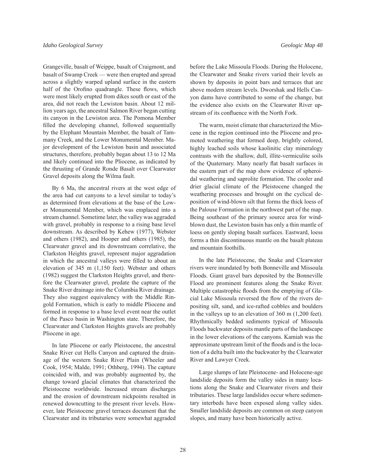Grangeville, basalt of Weippe, basalt of Craigmont, and basalt of Swamp Creek — were then erupted and spread across a slightly warped upland surface in the eastern half of the Orofino quadrangle. These flows, which were most likely erupted from dikes south or east of the area, did not reach the Lewiston basin. About 12 million years ago, the ancestral Salmon River began cutting its canyon in the Lewiston area. The Pomona Member filled the developing channel, followed sequentially by the Elephant Mountain Member, the basalt of Tammany Creek, and the Lower Monumental Member. Major development of the Lewiston basin and associated structures, therefore, probably began about 13 to 12 Ma and likely continued into the Pliocene, as indicated by the thrusting of Grande Ronde Basalt over Clearwater Gravel deposits along the Wilma fault.

By 6 Ma, the ancestral rivers at the west edge of the area had cut canyons to a level similar to today's as determined from elevations at the base of the Lower Monumental Member, which was emplaced into a stream channel. Sometime later, the valley was aggraded with gravel, probably in response to a rising base level downstream. As described by Kehew (1977), Webster and others (1982), and Hooper and others (1985), the Clearwater gravel and its downstream correlative, the Clarkston Heights gravel, represent major aggradation in which the ancestral valleys were filled to about an elevation of 345 m (1,150 feet). Webster and others (1982) suggest the Clarkston Heights gravel, and therefore the Clearwater gravel, predate the capture of the Snake River drainage into the Columbia River drainage. They also suggest equivalency with the Middle Ringold Formation, which is early to middle Pliocene and formed in response to a base level event near the outlet of the Pasco basin in Washington state. Therefore, the Clearwater and Clarkston Heights gravels are probably Pliocene in age.

In late Pliocene or early Pleistocene, the ancestral Snake River cut Hells Canyon and captured the drainage of the western Snake River Plain (Wheeler and Cook, 1954; Malde, 1991; Othberg, 1994). The capture coincided with, and was probably augmented by, the change toward glacial climates that characterized the Pleistocene worldwide. Increased stream discharges and the erosion of downstream nickpoints resulted in renewed downcutting to the present river levels. However, late Pleistocene gravel terraces document that the Clearwater and its tributaries were somewhat aggraded

before the Lake Missoula Floods. During the Holocene, the Clearwater and Snake rivers varied their levels as shown by deposits in point bars and terraces that are above modern stream levels. Dworshak and Hells Canyon dams have contributed to some of the change, but the evidence also exists on the Clearwater River upstream of its confluence with the North Fork.

The warm, moist climate that characterized the Miocene in the region continued into the Pliocene and promoted weathering that formed deep, brightly colored, highly leached soils whose kaolinitic clay mineralogy contrasts with the shallow, dull, illite-vermiculite soils of the Quaternary. Many nearly flat basalt surfaces in the eastern part of the map show evidence of spheroidal weathering and saprolite formation. The cooler and drier glacial climate of the Pleistocene changed the weathering processes and brought on the cyclical deposition of wind-blown silt that forms the thick loess of the Palouse Formation in the northwest part of the map. Being southeast of the primary source area for windblown dust, the Lewiston basin has only a thin mantle of loess on gently sloping basalt surfaces. Eastward, loess forms a thin discontinuous mantle on the basalt plateau and mountain foothills.

In the late Pleistocene, the Snake and Clearwater rivers were inundated by both Bonneville and Missoula Floods. Giant gravel bars deposited by the Bonneville Flood are prominent features along the Snake River. Multiple catastrophic floods from the emptying of Glacial Lake Missoula reversed the flow of the rivers depositing silt, sand, and ice-rafted cobbles and boulders in the valleys up to an elevation of 360 m (1,200 feet). Rhythmically bedded sediments typical of Missoula Floods backwater deposits mantle parts of the landscape in the lower elevations of the canyons. Kamiah was the approximate upstream limit of the floods and is the location of a delta built into the backwater by the Clearwater River and Lawyer Creek.

Large slumps of late Pleistocene- and Holocene-age landslide deposits form the valley sides in many locations along the Snake and Clearwater rivers and their tributaries. These large landslides occur where sedimentary interbeds have been exposed along valley sides. Smaller landslide deposits are common on steep canyon slopes, and many have been historically active.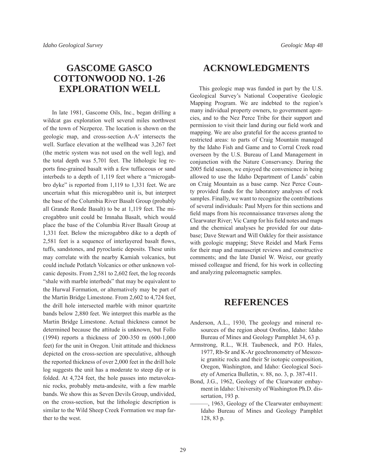## **GASCOME GASCO COTTONWOOD NO. 1-26 EXPLORATION WELL**

In late 1981, Gascome Oils, Inc., began drilling a wildcat gas exploration well several miles northwest of the town of Nezperce. The location is shown on the geologic map, and cross-section A-A′ intersects the well. Surface elevation at the wellhead was 3,267 feet (the metric system was not used on the well log), and the total depth was 5,701 feet. The lithologic log reports fine-grained basalt with a few tuffaceous or sand interbeds to a depth of 1,119 feet where a "microgabbro dyke" is reported from 1,119 to 1,331 feet. We are uncertain what this microgabbro unit is, but interpret the base of the Columbia River Basalt Group (probably all Grande Ronde Basalt) to be at 1,119 feet. The microgabbro unit could be Imnaha Basalt, which would place the base of the Columbia River Basalt Group at 1,331 feet. Below the microgabbro dike to a depth of 2,581 feet is a sequence of interlayered basalt flows, tuffs, sandstones, and pyroclastic deposits. These units may correlate with the nearby Kamiah volcanics, but could include Potlatch Volcanics or other unknown volcanic deposits. From 2,581 to 2,602 feet, the log records "shale with marble interbeds" that may be equivalent to the Hurwal Formation, or alternatively may be part of the Martin Bridge Limestone. From 2,602 to 4,724 feet, the drill hole intersected marble with minor quartzite bands below 2,880 feet. We interpret this marble as the Martin Bridge Limestone. Actual thickness cannot be determined because the attitude is unknown, but Follo (1994) reports a thickness of 200-350 m (600-1,000 feet) for the unit in Oregon. Unit attitude and thickness depicted on the cross-section are speculative, although the reported thickness of over 2,000 feet in the drill hole log suggests the unit has a moderate to steep dip or is folded. At 4,724 feet, the hole passes into metavolcanic rocks, probably meta-andesite, with a few marble bands. We show this as Seven Devils Group, undivided, on the cross-section, but the lithologic description is similar to the Wild Sheep Creek Formation we map farther to the west.

## **ACKNOWLEDGMENTS**

This geologic map was funded in part by the U.S. Geological Survey's National Cooperative Geologic Mapping Program. We are indebted to the region's many individual property owners, to government agencies, and to the Nez Perce Tribe for their support and permission to visit their land during our field work and mapping. We are also grateful for the access granted to restricted areas: to parts of Craig Mountain managed by the Idaho Fish and Game and to Corral Creek road overseen by the U.S. Bureau of Land Management in conjunction with the Nature Conservancy. During the 2005 field season, we enjoyed the convenience in being allowed to use the Idaho Department of Lands' cabin on Craig Mountain as a base camp. Nez Perce County provided funds for the laboratory analyses of rock samples. Finally, we want to recognize the contributions of several individuals: Paul Myers for thin sections and field maps from his reconnaissance traverses along the Clearwater River; Vic Camp for his field notes and maps and the chemical analyses he provided for our database; Dave Stewart and Will Oakley for their assistance with geologic mapping; Steve Reidel and Mark Ferns for their map and manuscript reviews and constructive comments; and the late Daniel W. Weisz, our greatly missed colleague and friend, for his work in collecting and analyzing paleomagnetic samples.

## **REFERENCES**

- Anderson, A.L., 1930, The geology and mineral resources of the region about Orofino, Idaho: Idaho Bureau of Mines and Geology Pamphlet 34, 63 p.
- Armstrong, R.L., W.H. Taubeneck, and P.O. Hales, 1977, Rb-Sr and K-Ar geochronometry of Mesozoic granitic rocks and their Sr isotopic composition, Oregon, Washington, and Idaho: Geological Society of America Bulletin, v. 88, no. 3, p. 387-411.
- Bond, J.G., 1962, Geology of the Clearwater embayment in Idaho: University of Washington Ph.D. dissertation, 193 p.
- -, 1963, Geology of the Clearwater embayment: Idaho Bureau of Mines and Geology Pamphlet 128, 83 p.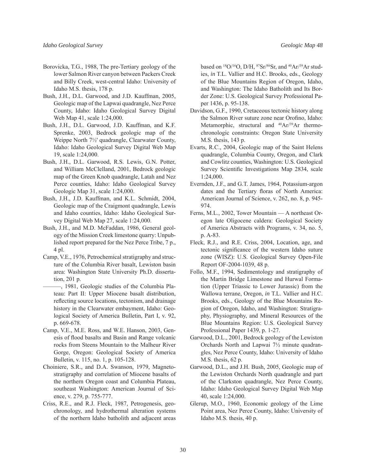- Borovicka, T.G., 1988, The pre-Tertiary geology of the lower Salmon River canyon between Packers Creek and Billy Creek, west-central Idaho: University of Idaho M.S. thesis, 178 p.
- Bush, J.H., D.L. Garwood, and J.D. Kauffman, 2005, Geologic map of the Lapwai quadrangle, Nez Perce County, Idaho: Idaho Geological Survey Digital Web Map 41, scale 1:24,000.
- Bush, J.H., D.L. Garwood, J.D. Kauffman, and K.F. Sprenke, 2003, Bedrock geologic map of the Weippe North 7½' quadrangle, Clearwater County, Idaho: Idaho Geological Survey Digital Web Map 19, scale 1:24,000.
- Bush, J.H., D.L. Garwood, R.S. Lewis, G.N. Potter, and William McClelland, 2001, Bedrock geologic map of the Green Knob quadrangle, Latah and Nez Perce counties, Idaho: Idaho Geological Survey Geologic Map 31, scale 1:24,000.
- Bush, J.H., J.D. Kauffman, and K.L. Schmidt, 2004, Geologic map of the Craigmont quadrangle, Lewis and Idaho counties, Idaho: Idaho Geological Survey Digital Web Map 27, scale 1:24,000.
- Bush, J.H., and M.D. McFaddan, 1986, General geology of the Mission Creek limestone quarry: Unpublished report prepared for the Nez Perce Tribe, 7 p., 4 pl.
- Camp, V.E., 1976, Petrochemical stratigraphy and structure of the Columbia River basalt, Lewiston basin area: Washington State University Ph.D. dissertation, 201 p.
	- ———, 1981, Geologic studies of the Columbia Plateau: Part II: Upper Miocene basalt distribution, reflecting source locations, tectonism, and drainage history in the Clearwater embayment, Idaho: Geological Society of America Bulletin, Part I, v. 92, p. 669-678.
- Camp, V.E., M.E. Ross, and W.E. Hanson, 2003, Genesis of flood basalts and Basin and Range volcanic rocks from Steens Mountain to the Malheur River Gorge, Oregon: Geological Society of America Bulletin, v. 115, no. 1, p. 105-128.
- Choiniere, S.R., and D.A. Swanson, 1979, Magnetostratigraphy and correlation of Miocene basalts of the northern Oregon coast and Columbia Plateau, southeast Washington: American Journal of Science, v. 279, p. 755-777.
- Criss, R.E., and R.J. Fleck, 1987, Petrogenesis, geochronology, and hydrothermal alteration systems of the northern Idaho batholith and adjacent areas

based on  $^{18}O/^{16}O$ , D/H,  $^{87}Sr/^{86}Sr$ , and  $^{40}Ar/^{39}Ar$  studies, *in* T.L. Vallier and H.C. Brooks, eds., Geology of the Blue Mountains Region of Oregon, Idaho, and Washington: The Idaho Batholith and Its Border Zone: U.S. Geological Survey Professional Paper 1436, p. 95-138.

- Davidson, G.F., 1990, Cretaceous tectonic history along the Salmon River suture zone near Orofino, Idaho: Metamorphic, structural and <sup>40</sup>Ar/<sup>39</sup>Ar thermochronologic constraints: Oregon State University M.S. thesis, 143 p.
- Evarts, R.C., 2004, Geologic map of the Saint Helens quadrangle, Columbia County, Oregon, and Clark and Cowlitz counties, Washington: U.S. Geological Survey Scientific Investigations Map 2834, scale 1:24,000.
- Evernden, J.F., and G.T. James, 1964, Potassium-argon dates and the Tertiary floras of North America: American Journal of Science, v. 262, no. 8, p. 945- 974.
- Ferns, M.L., 2002, Tower Mountain A northeast Oregon late Oligocene caldera: Geological Society of America Abstracts with Programs, v. 34, no. 5, p. A-83.
- Fleck, R.J., and R.E. Criss, 2004, Location, age, and tectonic significance of the western Idaho suture zone (WISZ): U.S. Geological Survey Open-File Report OF-2004-1039, 48 p.
- Follo, M.F., 1994, Sedimentology and stratigraphy of the Martin Bridge Limestone and Hurwal Formation (Upper Triassic to Lower Jurassic) from the Wallowa terrane, Oregon, *in* T.L. Vallier and H.C. Brooks, eds., Geology of the Blue Mountains Region of Oregon, Idaho, and Washington: Stratigraphy, Physiography, and Mineral Resources of the Blue Mountains Region: U.S. Geological Survey Professional Paper 1439, p. 1-27.
- Garwood, D.L., 2001, Bedrock geology of the Lewiston Orchards North and Lapwai 7½ minute quadrangles, Nez Perce County, Idaho: University of Idaho M.S. thesis, 62 p.
- Garwood, D.L., and J.H. Bush, 2005, Geologic map of the Lewiston Orchards North quadrangle and part of the Clarkston quadrangle, Nez Perce County, Idaho: Idaho Geological Survey Digital Web Map 40, scale 1:24,000.
- Glerup, M.O., 1960, Economic geology of the Lime Point area, Nez Perce County, Idaho: University of Idaho M.S. thesis, 40 p.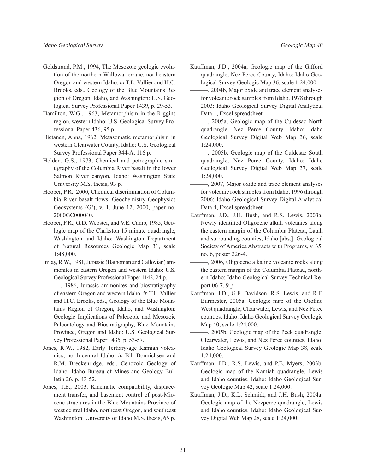- Goldstrand, P.M., 1994, The Mesozoic geologic evolution of the northern Wallowa terrane, northeastern Oregon and western Idaho, *in* T.L. Vallier and H.C. Brooks, eds., Geology of the Blue Mountains Region of Oregon, Idaho, and Washington: U.S. Geological Survey Professional Paper 1439, p. 29-53.
- Hamilton, W.G., 1963, Metamorphism in the Riggins region, western Idaho: U.S. Geological Survey Professional Paper 436, 95 p.
- Hietanen, Anna, 1962, Metasomatic metamorphism in western Clearwater County, Idaho: U.S. Geological Survey Professional Paper 344-A, 116 p.
- Holden, G.S., 1973, Chemical and petrographic stratigraphy of the Columbia River basalt in the lower Salmon River canyon, Idaho: Washington State University M.S. thesis, 93 p.
- Hooper, P.R., 2000, Chemical discrimination of Columbia River basalt flows: Geochemistry Geophysics Geosystems  $(G^3)$ , v. 1, June 12, 2000, paper no. 2000GC000040.
- Hooper, P.R., G.D. Webster, and V.E. Camp, 1985, Geologic map of the Clarkston 15 minute quadrangle, Washington and Idaho: Washington Department of Natural Resources Geologic Map 31, scale 1:48,000.
- Imlay, R.W., 1981, Jurassic (Bathonian and Callovian) ammonites in eastern Oregon and western Idaho: U.S. Geological Survey Professional Paper 1142, 24 p.
	- ———, 1986, Jurassic ammonites and biostratigraphy of eastern Oregon and western Idaho, *in* T.L. Vallier and H.C. Brooks, eds., Geology of the Blue Mountains Region of Oregon, Idaho, and Washington: Geologic Implications of Paleozoic and Mesozoic Paleontology and Biostratigraphy, Blue Mountains Province, Oregon and Idaho: U.S. Geological Survey Professional Paper 1435, p. 53-57.
- Jones, R.W., 1982, Early Tertiary-age Kamiah volcanics, north-central Idaho, *in* Bill Bonnichsen and R.M. Breckenridge, eds., Cenozoic Geology of Idaho: Idaho Bureau of Mines and Geology Bulletin 26, p. 43-52.
- Jones, T.E., 2003, Kinematic compatibility, displacement transfer, and basement control of post-Miocene structures in the Blue Mountains Province of west central Idaho, northeast Oregon, and southeast Washington: University of Idaho M.S. thesis, 65 p.
- Kauffman, J.D., 2004a, Geologic map of the Gifford quadrangle, Nez Perce County, Idaho: Idaho Geological Survey Geologic Map 36, scale 1:24,000.
- $-$ , 2004b, Major oxide and trace element analyses for volcanic rock samples from Idaho, 1978 through 2003: Idaho Geological Survey Digital Analytical Data 1, Excel spreadsheet.
- ———, 2005a, Geologic map of the Culdesac North quadrangle, Nez Perce County, Idaho: Idaho Geological Survey Digital Web Map 36, scale 1:24,000.
- ———, 2005b, Geologic map of the Culdesac South quadrangle, Nez Perce County, Idaho: Idaho Geological Survey Digital Web Map 37, scale 1:24,000.
- $-$ , 2007, Major oxide and trace element analyses for volcanic rock samples from Idaho, 1996 through 2006: Idaho Geological Survey Digital Analytical Data 4, Excel spreadsheet.
- Kauffman, J.D., J.H. Bush, and R.S. Lewis, 2003a, Newly identified Oligocene alkali volcanics along the eastern margin of the Columbia Plateau, Latah and surrounding counties, Idaho [abs.]: Geological Society of America Abstracts with Programs, v. 35, no. 6, poster 226-4.
- ———, 2006, Oligocene alkaline volcanic rocks along the eastern margin of the Columbia Plateau, northern Idaho: Idaho Geological Survey Technical Report 06-7, 9 p.
- Kauffman, J.D., G.F. Davidson, R.S. Lewis, and R.F. Burmester, 2005a, Geologic map of the Orofino West quadrangle, Clearwater, Lewis, and Nez Perce counties, Idaho: Idaho Geological Survey Geologic Map 40, scale 1:24,000.
- ———, 2005b, Geologic map of the Peck quadrangle, Clearwater, Lewis, and Nez Perce counties, Idaho: Idaho Geological Survey Geologic Map 38, scale 1:24,000.
- Kauffman, J.D., R.S. Lewis, and P.E. Myers, 2003b, Geologic map of the Kamiah quadrangle, Lewis and Idaho counties, Idaho: Idaho Geological Survey Geologic Map 42, scale 1:24,000.
- Kauffman, J.D., K.L. Schmidt, and J.H. Bush, 2004a, Geologic map of the Nezperce quadrangle, Lewis and Idaho counties, Idaho: Idaho Geological Survey Digital Web Map 28, scale 1:24,000.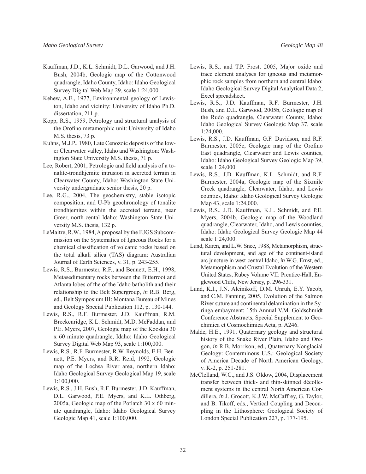- Kauffman, J.D., K.L. Schmidt, D.L. Garwood, and J.H. Bush, 2004b, Geologic map of the Cottonwood quadrangle, Idaho County, Idaho: Idaho Geological Survey Digital Web Map 29, scale 1:24,000.
- Kehew, A.E., 1977, Environmental geology of Lewiston, Idaho and vicinity: University of Idaho Ph.D. dissertation, 211 p.
- Kopp, R.S., 1959, Petrology and structural analysis of the Orofino metamorphic unit: University of Idaho M.S. thesis, 73 p.
- Kuhns, M.J.P., 1980, Late Cenozoic deposits of the lower Clearwater valley, Idaho and Washington: Washington State University M.S. thesis, 71 p.
- Lee, Robert, 2001, Petrologic and field analysis of a tonalite-trondhjemite intrusion in accreted terrain in Clearwater County, Idaho: Washington State University undergraduate senior thesis, 20 p.
- Lee, R.G., 2004, The geochemistry, stable isotopic composition, and U-Pb geochronology of tonalite trondhjemites within the accreted terrane, near Greer, north-cental Idaho: Washington State University M.S. thesis, 132 p.
- LeMaitre, R.W., 1984, A proposal by the IUGS Subcommission on the Systematics of Igneous Rocks for a chemical classification of volcanic rocks based on the total alkali silica (TAS) diagram: Australian Journal of Earth Sciences, v. 31, p. 243-255.
- Lewis, R.S., Burmester, R.F., and Bennett, E.H., 1998, Metasedimentary rocks between the Bitterroot and Atlanta lobes of the of the Idaho batholith and their relationship to the Belt Supergroup, *in* R.B. Berg, ed., Belt Symposium III: Montana Bureau of Mines and Geology Special Publication 112, p. 130-144.
- Lewis, R.S., R.F. Burmester, J.D. Kauffman, R.M. Breckenridge, K.L. Schmidt, M.D. McFaddan, and P.E. Myers, 2007, Geologic map of the Kooskia 30 x 60 minute quadrangle, Idaho: Idaho Geological Survey Digital Web Map 93, scale 1:100,000.
- Lewis, R.S., R.F. Burmester, R.W. Reynolds, E.H. Bennett, P.E. Myers, and R.R. Reid, 1992, Geologic map of the Lochsa River area, northern Idaho: Idaho Geological Survey Geological Map 19, scale 1:100,000.
- Lewis, R.S., J.H. Bush, R.F. Burmester, J.D. Kauffman, D.L. Garwood, P.E. Myers, and K.L. Othberg, 2005a, Geologic map of the Potlatch 30 x 60 minute quadrangle, Idaho: Idaho Geological Survey Geologic Map 41, scale 1:100,000.
- Lewis, R.S., and T.P. Frost, 2005, Major oxide and trace element analyses for igneous and metamorphic rock samples from northern and central Idaho: Idaho Geological Survey Digital Analytical Data 2, Excel spreadsheet.
- Lewis, R.S., J.D. Kauffman, R.F. Burmester, J.H. Bush, and D.L. Garwood, 2005b, Geologic map of the Rudo quadrangle, Clearwater County, Idaho: Idaho Geological Survey Geologic Map 37, scale 1:24,000.
- Lewis, R.S., J.D. Kauffman, G.F. Davidson, and R.F. Burmester, 2005c, Geologic map of the Orofino East quadrangle, Clearwater and Lewis counties, Idaho: Idaho Geological Survey Geologic Map 39, scale 1:24,000.
- Lewis, R.S., J.D. Kauffman, K.L. Schmidt, and R.F. Burmester, 2004a, Geologic map of the Sixmile Creek quadrangle, Clearwater, Idaho, and Lewis counties, Idaho: Idaho Geological Survey Geologic Map 43, scale 1:24,000.
- Lewis, R.S., J.D. Kauffman, K.L. Schmidt, and P.E. Myers, 2004b, Geologic map of the Woodland quadrangle, Clearwater, Idaho, and Lewis counties, Idaho: Idaho Geological Survey Geologic Map 44 scale 1:24,000.
- Lund, Karen, and L.W. Snee, 1988, Metamorphism, structural development, and age of the continent-island arc juncture in west-central Idaho, *in* W.G. Ernst, ed., Metamorphism and Crustal Evolution of the Western United States, Rubey Volume VII: Prentice-Hall, Englewood Cliffs, New Jersey, p. 296-331.
- Lund, K.I., J.N. Aleinikoff, D.M. Unruh, E.Y. Yacob, and C.M. Fanning, 2005, Evolution of the Salmon River suture and continental delamination in the Syringa embayment: 15th Annual V.M. Goldschmidt Conference Abstracts, Special Supplement to Geochimica et Cosmochimica Acta, p. A246.
- Malde, H.E., 1991, Quaternary geology and structural history of the Snake River Plain, Idaho and Oregon, *in* R.B. Morrison, ed., Quaternary Nonglacial Geology: Conterminous U.S.: Geological Society of America Decade of North American Geology, v. K-2, p. 251-281.
- McClelland, W.C., and J.S. Oldow, 2004, Displacement transfer between thick- and thin-skinned décollement systems in the central North American Cordillera, *in* J. Grocott, K.J.W. McCaffrey, G. Taylor, and B. Tikoff, eds., Vertical Coupling and Decoupling in the Lithosphere: Geological Society of London Special Publication 227, p. 177-195.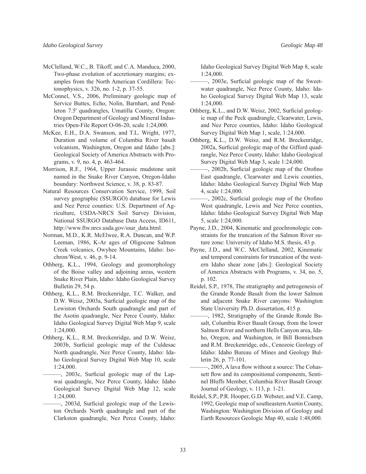- McClelland, W.C., B. Tikoff, and C.A. Manduca, 2000, Two-phase evolution of accretionary margins; examples from the North American Cordillera: Tectonophysics, v. 326, no. 1-2, p. 37-55.
- McConnel, V.S., 2006, Preliminary geologic map of Service Buttes, Echo, Nolin, Barnhart, and Pendleton 7.5' quadrangles, Umatilla County, Oregon: Oregon Department of Geology and Mineral Industries Open-File Report O-06-20, scale 1:24,000.
- McKee, E.H., D.A. Swanson, and T.L. Wright, 1977, Duration and volume of Columbia River basalt volcanism, Washington, Oregon and Idaho [abs.]: Geological Society of America Abstracts with Programs, v. 9, no. 4, p. 463-464.
- Morrison, R.F., 1964, Upper Jurassic mudstone unit named in the Snake River Canyon, Oregon-Idaho boundary: Northwest Science, v. 38, p. 83-87.
- Natural Resources Conservation Service, 1999, Soil survey geographic (SSURGO) database for Lewis and Nez Perce counties: U.S. Department of Agriculture, USDA-NRCS Soil Survey Division, National SSURGO Database Data Access, ID611, http://www.ftw.nrcs.usda.gov/ssur\_data.html.
- Norman, M.D., K.R. McElwee, R.A. Duncan, and W.P. Leeman, 1986, K-Ar ages of Oligocene Salmon Creek volcanics, Owyhee Mountains, Idaho: Isochron/West, v. 46, p. 9-14.
- Othberg, K.L., 1994, Geology and geomorphology of the Boise valley and adjoining areas, western Snake River Plain, Idaho: Idaho Geological Survey Bulletin 29, 54 p.
- Othberg, K.L., R.M. Breckenridge, T.C. Walker, and D.W. Weisz, 2003a, Surficial geologic map of the Lewiston Orchards South quadrangle and part of the Asotin quadrangle, Nez Perce County, Idaho: Idaho Geological Survey Digital Web Map 9, scale 1:24,000.
- Othberg, K.L., R.M. Breckenridge, and D.W. Weisz, 2003b, Surficial geologic map of the Culdesac North quadrangle, Nez Perce County, Idaho: Idaho Geological Survey Digital Web Map 10, scale 1:24,000.
	- $-$ , 2003c, Surficial geologic map of the Lapwai quadrangle, Nez Perce County, Idaho: Idaho Geological Survey Digital Web Map 12, scale 1:24,000.
	- $-$ , 2003d, Surficial geologic map of the Lewiston Orchards North quadrangle and part of the Clarkston quadrangle, Nez Perce County, Idaho:

Idaho Geological Survey Digital Web Map 8, scale 1:24,000.

- $-$ , 2003e, Surficial geologic map of the Sweetwater quadrangle, Nez Perce County, Idaho: Idaho Geological Survey Digital Web Map 13, scale 1:24,000.
- Othberg, K.L., and D.W. Weisz, 2002, Surficial geologic map of the Peck quadrangle, Clearwater, Lewis, and Nez Perce counties, Idaho: Idaho Geological Survey Digital Web Map 1, scale, 1:24,000.
- Othberg, K.L., D.W. Weisz, and R.M. Breckenridge, 2002a, Surficial geologic map of the Gifford quadrangle, Nez Perce County, Idaho: Idaho Geological Survey Digital Web Map 3, scale 1:24,000.
- -, 2002b, Surficial geologic map of the Orofino East quadrangle, Clearwater and Lewis counties, Idaho: Idaho Geological Survey Digital Web Map 4, scale 1:24,000.
- $-$ , 2002c, Surficial geologic map of the Orofino West quadrangle, Lewis and Nez Perce counties, Idaho: Idaho Geological Survey Digital Web Map 5, scale 1:24,000.
- Payne, J.D., 2004, Kinematic and geochronologic constraints for the truncation of the Salmon River suture zone: University of Idaho M.S. thesis, 43 p.
- Payne, J.D., and W.C. McClelland, 2002, Kinematic and temporal constraints for truncation of the western Idaho shear zone [abs.]: Geological Society of America Abstracts with Programs, v. 34, no. 5, p. 102.
- Reidel, S.P., 1978, The stratigraphy and petrogenesis of the Grande Ronde Basalt from the lower Salmon and adjacent Snake River canyons: Washington State University Ph.D. dissertation, 415 p.
- -, 1982, Stratigraphy of the Grande Ronde Basalt, Columbia River Basalt Group, from the lower Salmon River and northern Hells Canyon area, Idaho, Oregon, and Washington, *in* Bill Bonnichsen and R.M. Breckenridge, eds., Cenozoic Geology of Idaho: Idaho Bureau of Mines and Geology Bulletin 26, p. 77-101.
- , 2005, A lava flow without a source: The Cohassett flow and its compositional components, Sentinel Bluffs Member, Columbia River Basalt Group: Journal of Geology, v. 113, p. 1-21.
- Reidel, S.P., P.R. Hooper, G.D. Webster, and V.E. Camp, 1992, Geologic map of southeastern Asotin County, Washington: Washington Division of Geology and Earth Resources Geologic Map 40, scale 1:48,000.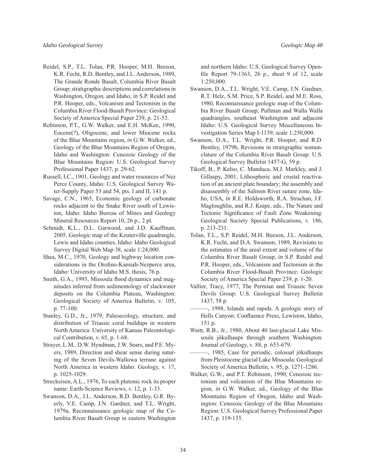- Reidel, S.P., T.L. Tolan, P.R. Hooper, M.H. Beeson, K.R. Fecht, R.D. Bentley, and J.L. Anderson, 1989, The Grande Ronde Basalt, Columbia River Basalt Group; stratigraphic descriptions and correlations in Washington, Oregon, and Idaho, *in* S.P. Reidel and P.R. Hooper, eds., Volcanism and Tectonism in the Columbia River Flood-Basalt Province: Geological Society of America Special Paper 239, p. 21-53.
- Robinson, P.T., G.W. Walker, and E.H. McKee, 1990, Eocene(?), Oligocene, and lower Miocene rocks of the Blue Mountains region, *in* G.W. Walker, ed., Geology of the Blue Mountains Region of Oregon, Idaho and Washington: Cenozoic Geology of the Blue Mountains Region: U.S. Geological Survey Professional Paper 1437, p. 29-62.
- Russell, I.C., 1901, Geology and water resources of Nez Perce County, Idaho: U.S. Geological Survey Water-Supply Paper 53 and 54, pts. I and II, 141 p.
- Savage, C.N., 1965, Economic geology of carbonate rocks adjacent to the Snake River south of Lewiston, Idaho: Idaho Bureau of Mines and Geology Mineral Resources Report 10, 26 p., 2 pl.
- Schmidt, K.L., D.L. Garwood, and J.D. Kauffman, 2005, Geologic map of the Keuterville quadrangle, Lewis and Idaho counties, Idaho: Idaho Geological Survey Digital Web Map 38, scale 1:24,000.
- Shea, M.C., 1970, Geology and highway location considerations in the Orofino-Kamiah-Nezperce area, Idaho: University of Idaho M.S. thesis, 76 p.
- Smith, G.A., 1993, Missoula flood dynamics and magnitudes inferred from sedimentology of slackwater deposits on the Columbia Plateau, Washington: Geological Society of America Bulletin, v. 105, p. 77-100.
- Stanley, G.D., Jr., 1979, Paleoecology, structure, and distribution of Triassic coral buildups in western North America: University of Kansas Paleontological Contribution, v. 65, p. 1-68.
- Strayer, L.M., D.W. Hyndman, J.W. Sears, and P.E. Myers, 1989, Direction and shear sense during suturing of the Seven Devils-Wallowa terrane against North America in western Idaho: Geology, v. 17, p. 1025-1029.
- Streckeisen, A.L., 1976, To each plutonic rock its proper name: Earth-Science Reviews, v. 12, p. 1-33.
- Swanson, D.A., J.L. Anderson, R.D. Bentley, G.R. Byerly, V.E. Camp, J.N. Gardner, and T.L. Wright, 1979a, Reconnaissance geologic map of the Columbia River Basalt Group in eastern Washington

and northern Idaho: U.S. Geological Survey Openfile Report 79-1363, 26 p., sheet 9 of 12, scale 1:250,000.

- Swanson, D.A., T.L. Wright, V.E. Camp, J.N. Gardner, R.T. Helz, S.M. Price, S.P. Reidel, and M.E. Ross, 1980, Reconnaissance geologic map of the Columbia River Basalt Group, Pullman and Walla Walla quadrangles, southeast Washington and adjacent Idaho: U.S. Geological Survey Miscellaneous Investigation Series Map I-1139, scale 1:250,000.
- Swanson, D.A., T.L. Wright, P.R. Hooper, and R.D. Bentley, 1979b, Revisions in stratigraphic nomenclature of the Columbia River Basalt Group: U.S. Geological Survey Bulletin 1457-G, 59 p.
- Tikoff, B., P. Kelso, C. Manduca, M.J. Markley, and J. Gillaspy, 2001, Lithospheric and crustal reactivation of an ancient plate boundary; the assembly and disassembly of the Salmon River suture zone, Idaho, USA, *in* R.E. Holdsworth, R.A. Strachan, J.F. Magloughlin, and R.J. Knipe, eds., The Nature and Tectonic Significance of Fault Zone Weakening: Geological Society Special Publications, v. 186, p. 213-231.
- Tolan, T.L., S.P. Reidel, M.H. Beeson, J.L. Anderson, K.R. Fecht, and D.A. Swanson, 1989, Revisions to the estimates of the areal extent and volume of the Columbia River Basalt Group, *in* S.P. Reidel and P.R. Hooper, eds., Volcanism and Tectonism in the Columbia River Flood-Basalt Province: Geologic Society of America Special Paper 239, p. 1-20.
- Vallier, Tracy, 1977, The Permian and Triassic Seven Devils Group: U.S. Geological Survey Bulletin 1437, 58 p.
- ———, 1998, Islands and rapids. A geologic story of Hells Canyon: Confluence Press, Lewiston, Idaho, 151 p.
- Waitt, R.B., Jr., 1980, About 40 last-glacial Lake Missoula jökulhaups through southern Washington: Journal of Geology, v. 88, p. 653-679.
- ———, 1985, Case for periodic, colossal jökulhaups from Pleistocene glacial Lake Missoula: Geological Society of America Bulletin, v. 95, p. 1271-1286.
- Walker, G.W., and P.T. Robinson, 1990, Cenozoic tectonism and volcanism of the Blue Mountains region, *in* G.W. Walker, ed., Geology of the Blue Mountains Region of Oregon, Idaho and Washington: Cenozoic Geology of the Blue Mountains Region: U.S. Geological Survey Professional Paper 1437, p. 119-135.